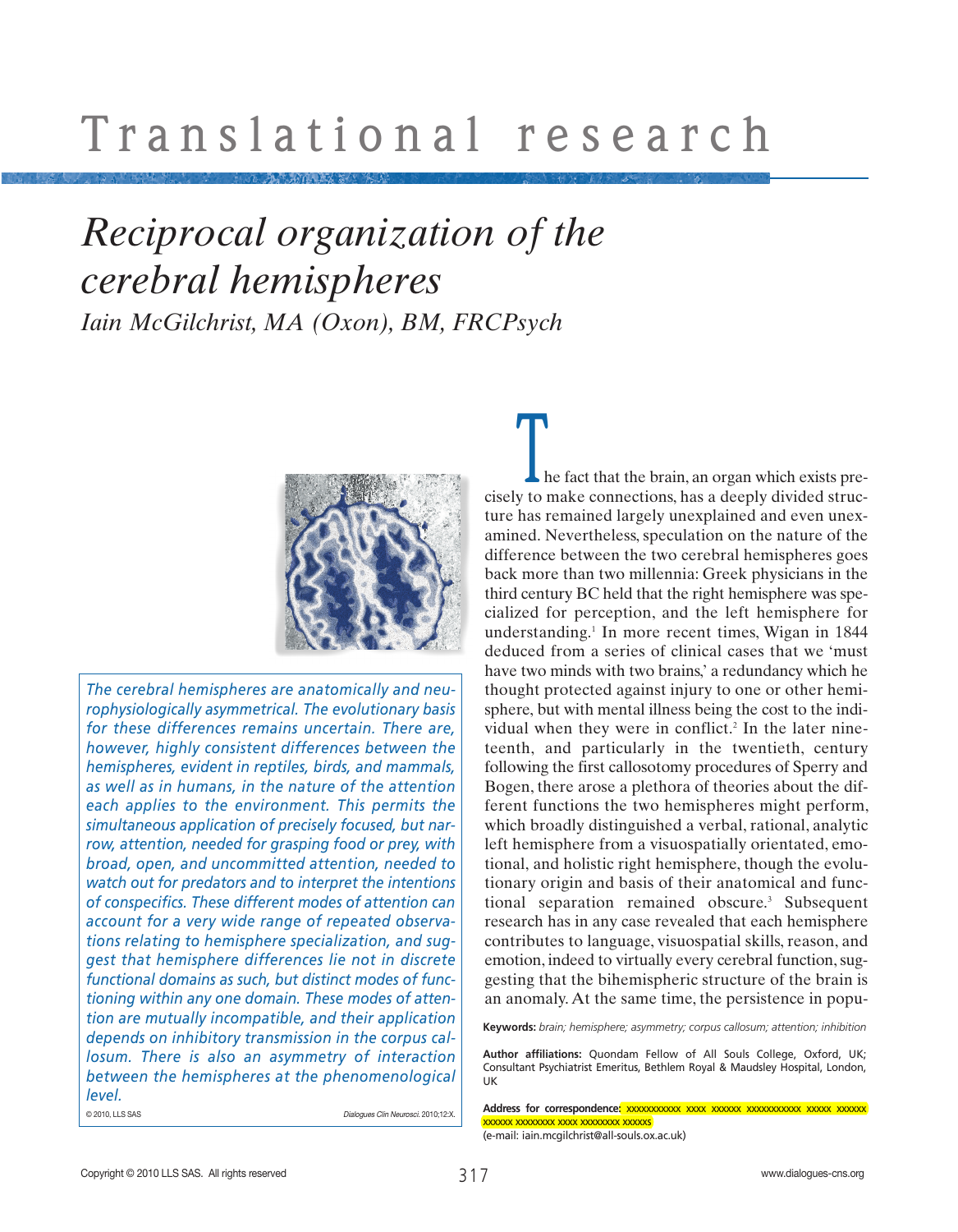### *Reciprocal organization of the cerebral hemispheres Iain McGilchrist, MA (Oxon), BM, FRCPsych*



*The cerebral hemispheres are anatomically and neurophysiologically asymmetrical. The evolutionary basis for these differences remains uncertain. There are, however, highly consistent differences between the hemispheres, evident in reptiles, birds, and mammals, as well as in humans, in the nature of the attention each applies to the environment. This permits the simultaneous application of precisely focused, but narrow, attention, needed for grasping food or prey, with broad, open, and uncommitted attention, needed to watch out for predators and to interpret the intentions of conspecifics. These different modes of attention can account for a very wide range of repeated observations relating to hemisphere specialization, and suggest that hemisphere differences lie not in discrete functional domains as such, but distinct modes of functioning within any one domain. These modes of attention are mutually incompatible, and their application depends on inhibitory transmission in the corpus callosum. There is also an asymmetry of interaction between the hemispheres at the phenomenological level.* 

© 2010, LLS SAS Dialogues Clin Neurosci. 2010;12:X.

he fact that the brain, an organ which exists pre-In the fact that the brain, an organ which exists precisely to make connections, has a deeply divided structure has remained largely unexplained and even unexamined. Nevertheless, speculation on the nature of the difference between the two cerebral hemispheres goes back more than two millennia: Greek physicians in the third century BC held that the right hemisphere was specialized for perception, and the left hemisphere for understanding.<sup>1</sup> In more recent times, Wigan in  $1844$ deduced from a series of clinical cases that we 'must have two minds with two brains,' a redundancy which he thought protected against injury to one or other hemisphere, but with mental illness being the cost to the individual when they were in conflict.<sup>2</sup> In the later nineteenth, and particularly in the twentieth, century following the first callosotomy procedures of Sperry and Bogen, there arose a plethora of theories about the different functions the two hemispheres might perform, which broadly distinguished a verbal, rational, analytic left hemisphere from a visuospatially orientated, emotional, and holistic right hemisphere, though the evolutionary origin and basis of their anatomical and functional separation remained obscure.<sup>3</sup> Subsequent research has in any case revealed that each hemisphere contributes to language, visuospatial skills, reason, and emotion, indeed to virtually every cerebral function, suggesting that the bihemispheric structure of the brain is an anomaly. At the same time, the persistence in popu-

**Keywords:** *brain; hemisphere; asymmetry; corpus callosum; attention; inhibition*

**Author affiliations:** Quondam Fellow of All Souls College, Oxford, UK; Consultant Psychiatrist Emeritus, Bethlem Royal & Maudsley Hospital, London, UK

**Address for correspondence:** xxxxxxxxxxx xxxx xxxxxx xxxxxxxxxxx xxxxx xxxxxx xxxxxx xxxxxxxx xxxx xxxxxxxx xxxxxs

(e-mail: iain.mcgilchrist@all-souls.ox.ac.uk)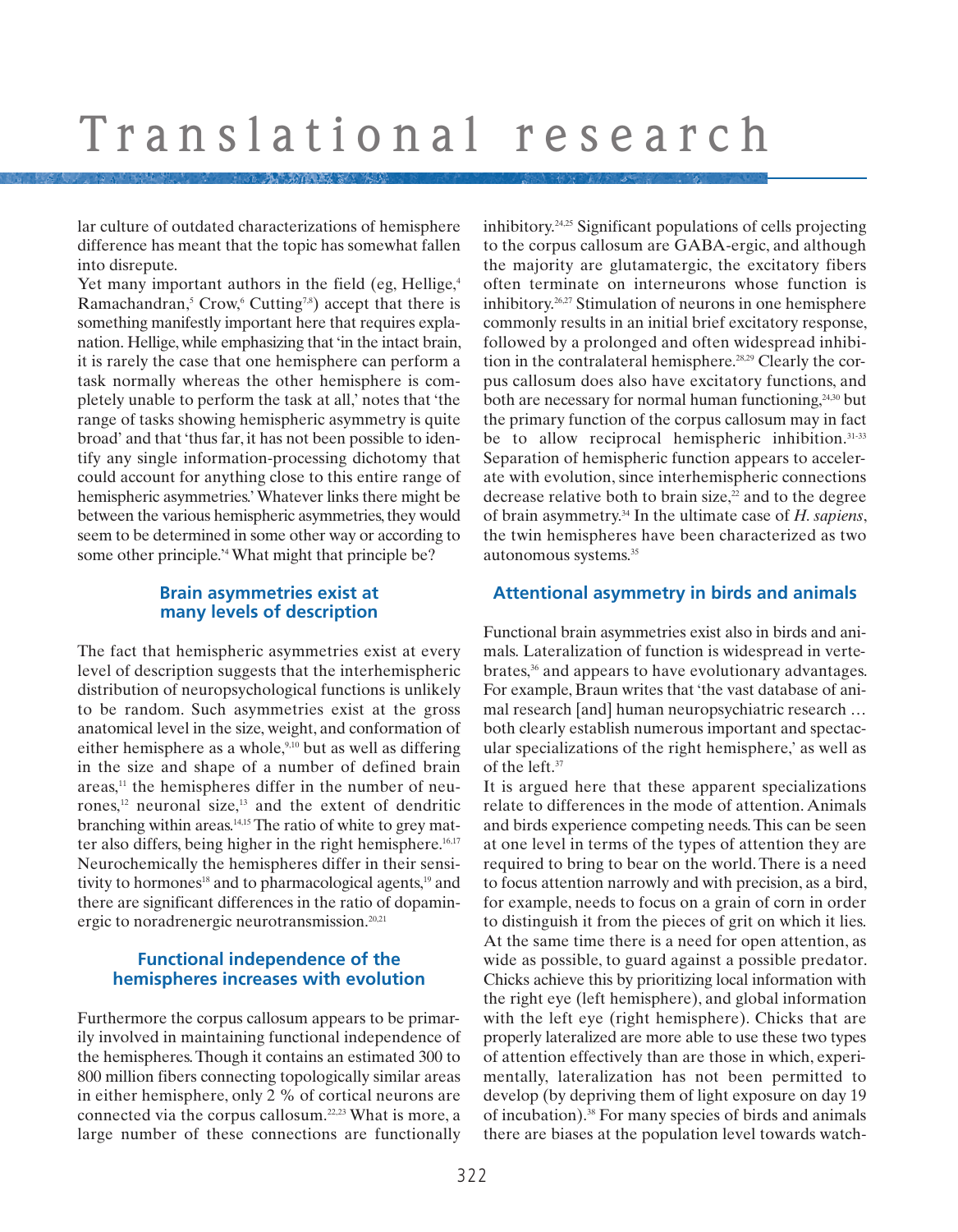lar culture of outdated characterizations of hemisphere difference has meant that the topic has somewhat fallen into disrepute.

Yet many important authors in the field (eg, Hellige,<sup>4</sup>) Ramachandran,<sup>5</sup> Crow,<sup>6</sup> Cutting<sup>7,8</sup>) accept that there is something manifestly important here that requires explanation. Hellige, while emphasizing that 'in the intact brain, it is rarely the case that one hemisphere can perform a task normally whereas the other hemisphere is completely unable to perform the task at all,' notes that 'the range of tasks showing hemispheric asymmetry is quite broad' and that 'thus far, it has not been possible to identify any single information-processing dichotomy that could account for anything close to this entire range of hemispheric asymmetries.' Whatever links there might be between the various hemispheric asymmetries, they would seem to be determined in some other way or according to some other principle.<sup>24</sup> What might that principle be?

#### **Brain asymmetries exist at many levels of description**

The fact that hemispheric asymmetries exist at every level of description suggests that the interhemispheric distribution of neuropsychological functions is unlikely to be random. Such asymmetries exist at the gross anatomical level in the size, weight, and conformation of either hemisphere as a whole, $9,10$  but as well as differing in the size and shape of a number of defined brain areas,<sup>11</sup> the hemispheres differ in the number of neurones,12 neuronal size,13 and the extent of dendritic branching within areas.14,15 The ratio of white to grey matter also differs, being higher in the right hemisphere.<sup>16,17</sup> Neurochemically the hemispheres differ in their sensitivity to hormones<sup>18</sup> and to pharmacological agents, $19$  and there are significant differences in the ratio of dopaminergic to noradrenergic neurotransmission.<sup>20,21</sup>

### **Functional independence of the hemispheres increases with evolution**

Furthermore the corpus callosum appears to be primarily involved in maintaining functional independence of the hemispheres. Though it contains an estimated 300 to 800 million fibers connecting topologically similar areas in either hemisphere, only 2 % of cortical neurons are connected via the corpus callosum.22,23 What is more, a large number of these connections are functionally

inhibitory.24,25 Significant populations of cells projecting to the corpus callosum are GABA-ergic, and although the majority are glutamatergic, the excitatory fibers often terminate on interneurons whose function is inhibitory.26,27 Stimulation of neurons in one hemisphere commonly results in an initial brief excitatory response, followed by a prolonged and often widespread inhibition in the contralateral hemisphere.28,29 Clearly the corpus callosum does also have excitatory functions, and both are necessary for normal human functioning, $24,30$  but the primary function of the corpus callosum may in fact be to allow reciprocal hemispheric inhibition.<sup>31-33</sup> Separation of hemispheric function appears to accelerate with evolution, since interhemispheric connections decrease relative both to brain size, $2<sup>2</sup>$  and to the degree of brain asymmetry.34 In the ultimate case of *H. sapiens*, the twin hemispheres have been characterized as two autonomous systems.35

### **Attentional asymmetry in birds and animals**

Functional brain asymmetries exist also in birds and animals. Lateralization of function is widespread in vertebrates,<sup>36</sup> and appears to have evolutionary advantages. For example, Braun writes that 'the vast database of animal research [and] human neuropsychiatric research … both clearly establish numerous important and spectacular specializations of the right hemisphere,' as well as of the left.37

It is argued here that these apparent specializations relate to differences in the mode of attention. Animals and birds experience competing needs. This can be seen at one level in terms of the types of attention they are required to bring to bear on the world. There is a need to focus attention narrowly and with precision, as a bird, for example, needs to focus on a grain of corn in order to distinguish it from the pieces of grit on which it lies. At the same time there is a need for open attention, as wide as possible, to guard against a possible predator. Chicks achieve this by prioritizing local information with the right eye (left hemisphere), and global information with the left eye (right hemisphere). Chicks that are properly lateralized are more able to use these two types of attention effectively than are those in which, experimentally, lateralization has not been permitted to develop (by depriving them of light exposure on day 19 of incubation).38 For many species of birds and animals there are biases at the population level towards watch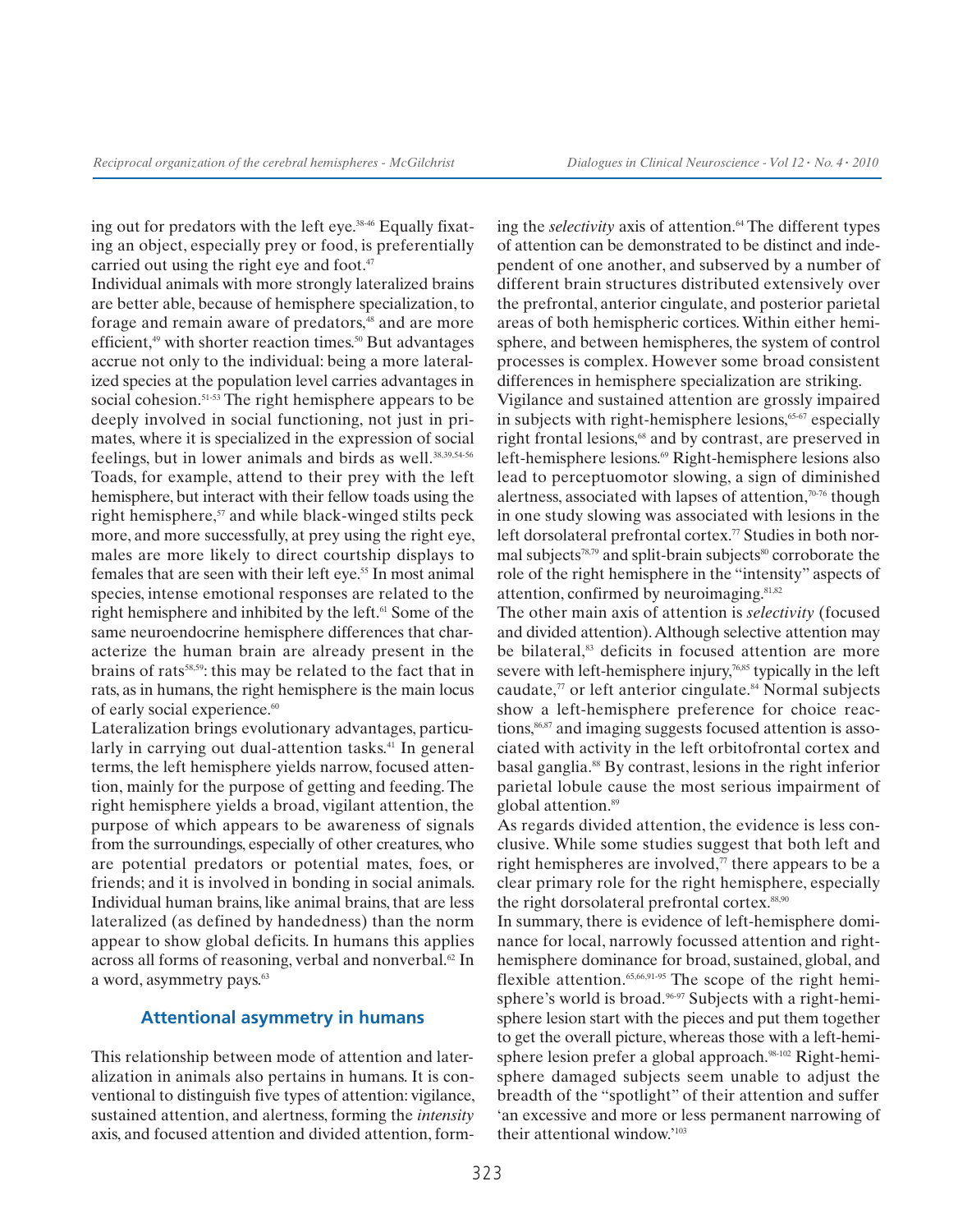ing out for predators with the left eye.<sup>38-46</sup> Equally fixating an object, especially prey or food, is preferentially carried out using the right eye and foot.<sup>47</sup>

Individual animals with more strongly lateralized brains are better able, because of hemisphere specialization, to forage and remain aware of predators,<sup>48</sup> and are more efficient, $49$  with shorter reaction times. $50$  But advantages accrue not only to the individual: being a more lateralized species at the population level carries advantages in social cohesion.<sup>51-53</sup> The right hemisphere appears to be deeply involved in social functioning, not just in primates, where it is specialized in the expression of social feelings, but in lower animals and birds as well.<sup>38,39,54-56</sup> Toads, for example, attend to their prey with the left hemisphere, but interact with their fellow toads using the right hemisphere, $57$  and while black-winged stilts peck more, and more successfully, at prey using the right eye, males are more likely to direct courtship displays to females that are seen with their left eye.<sup>55</sup> In most animal species, intense emotional responses are related to the right hemisphere and inhibited by the left.<sup>61</sup> Some of the same neuroendocrine hemisphere differences that characterize the human brain are already present in the brains of rats<sup>58,59</sup>: this may be related to the fact that in rats, as in humans, the right hemisphere is the main locus of early social experience.<sup>60</sup>

Lateralization brings evolutionary advantages, particularly in carrying out dual-attention tasks.<sup>41</sup> In general terms, the left hemisphere yields narrow, focused attention, mainly for the purpose of getting and feeding. The right hemisphere yields a broad, vigilant attention, the purpose of which appears to be awareness of signals from the surroundings, especially of other creatures, who are potential predators or potential mates, foes, or friends; and it is involved in bonding in social animals. Individual human brains, like animal brains, that are less lateralized (as defined by handedness) than the norm appear to show global deficits. In humans this applies across all forms of reasoning, verbal and nonverbal. $62$  In a word, asymmetry pays.<sup>63</sup>

#### **Attentional asymmetry in humans**

This relationship between mode of attention and lateralization in animals also pertains in humans. It is conventional to distinguish five types of attention: vigilance, sustained attention, and alertness, forming the *intensity* axis, and focused attention and divided attention, form-

ing the *selectivity* axis of attention.<sup>64</sup> The different types of attention can be demonstrated to be distinct and independent of one another, and subserved by a number of different brain structures distributed extensively over the prefrontal, anterior cingulate, and posterior parietal areas of both hemispheric cortices. Within either hemisphere, and between hemispheres, the system of control processes is complex. However some broad consistent differences in hemisphere specialization are striking.

Vigilance and sustained attention are grossly impaired in subjects with right-hemisphere lesions, $65-67$  especially right frontal lesions,<sup>68</sup> and by contrast, are preserved in left-hemisphere lesions.69 Right-hemisphere lesions also lead to perceptuomotor slowing, a sign of diminished alertness, associated with lapses of attention,70-76 though in one study slowing was associated with lesions in the left dorsolateral prefrontal cortex.<sup>77</sup> Studies in both normal subjects $78,79$  and split-brain subjects $80$  corroborate the role of the right hemisphere in the "intensity" aspects of attention, confirmed by neuroimaging.<sup>81,82</sup>

The other main axis of attention is *selectivity* (focused and divided attention). Although selective attention may be bilateral,<sup>83</sup> deficits in focused attention are more severe with left-hemisphere injury,<sup>76,85</sup> typically in the left caudate, $\pi$  or left anterior cingulate.<sup>84</sup> Normal subjects show a left-hemisphere preference for choice reactions,<sup>86,87</sup> and imaging suggests focused attention is associated with activity in the left orbitofrontal cortex and basal ganglia.88 By contrast, lesions in the right inferior parietal lobule cause the most serious impairment of global attention.<sup>89</sup>

As regards divided attention, the evidence is less conclusive. While some studies suggest that both left and right hemispheres are involved, $\eta$  there appears to be a clear primary role for the right hemisphere, especially the right dorsolateral prefrontal cortex.<sup>88,90</sup>

In summary, there is evidence of left-hemisphere dominance for local, narrowly focussed attention and righthemisphere dominance for broad, sustained, global, and flexible attention.<sup>65,66,91-95</sup> The scope of the right hemisphere's world is broad.<sup>96.97</sup> Subjects with a right-hemisphere lesion start with the pieces and put them together to get the overall picture, whereas those with a left-hemisphere lesion prefer a global approach.<sup>98-102</sup> Right-hemisphere damaged subjects seem unable to adjust the breadth of the "spotlight" of their attention and suffer 'an excessive and more or less permanent narrowing of their attentional window.'103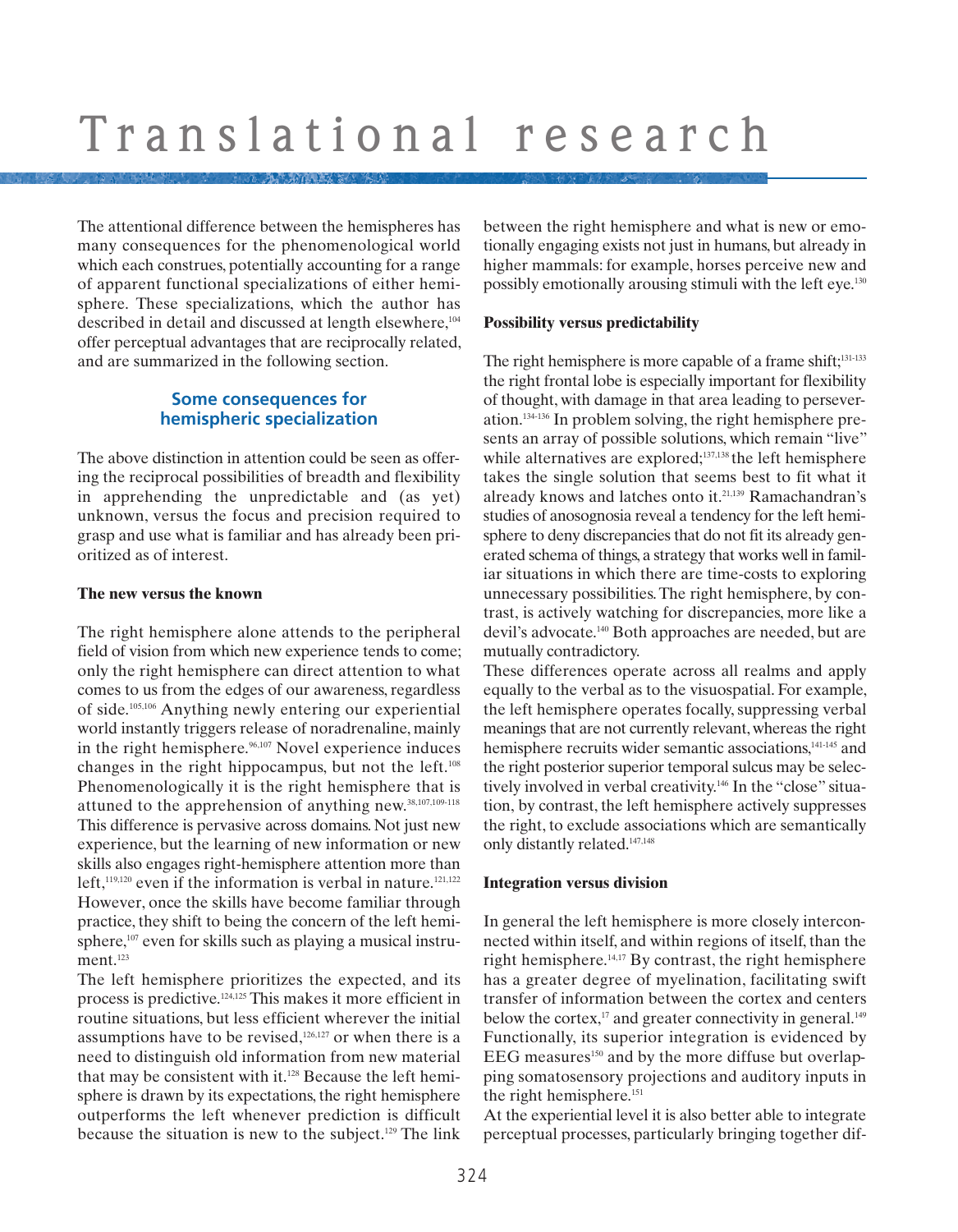The attentional difference between the hemispheres has many consequences for the phenomenological world which each construes, potentially accounting for a range of apparent functional specializations of either hemisphere. These specializations, which the author has described in detail and discussed at length elsewhere,<sup>104</sup> offer perceptual advantages that are reciprocally related, and are summarized in the following section.

### **Some consequences for hemispheric specialization**

The above distinction in attention could be seen as offering the reciprocal possibilities of breadth and flexibility in apprehending the unpredictable and (as yet) unknown, versus the focus and precision required to grasp and use what is familiar and has already been prioritized as of interest.

#### **The new versus the known**

The right hemisphere alone attends to the peripheral field of vision from which new experience tends to come; only the right hemisphere can direct attention to what comes to us from the edges of our awareness, regardless of side.105,106 Anything newly entering our experiential world instantly triggers release of noradrenaline, mainly in the right hemisphere.<sup>96,107</sup> Novel experience induces changes in the right hippocampus, but not the left.108 Phenomenologically it is the right hemisphere that is attuned to the apprehension of anything new.38,107,109-118 This difference is pervasive across domains. Not just new experience, but the learning of new information or new skills also engages right-hemisphere attention more than left, $119,120$  even if the information is verbal in nature.<sup>121,122</sup> However, once the skills have become familiar through practice, they shift to being the concern of the left hemisphere,<sup>107</sup> even for skills such as playing a musical instrument.<sup>123</sup>

The left hemisphere prioritizes the expected, and its process is predictive.124,125 This makes it more efficient in routine situations, but less efficient wherever the initial assumptions have to be revised, $126,127$  or when there is a need to distinguish old information from new material that may be consistent with it.128 Because the left hemisphere is drawn by its expectations, the right hemisphere outperforms the left whenever prediction is difficult because the situation is new to the subject.129 The link

between the right hemisphere and what is new or emotionally engaging exists not just in humans, but already in higher mammals: for example, horses perceive new and possibly emotionally arousing stimuli with the left eye.130

#### **Possibility versus predictability**

The right hemisphere is more capable of a frame shift;<sup>131-133</sup> the right frontal lobe is especially important for flexibility of thought, with damage in that area leading to perseveration.134-136 In problem solving, the right hemisphere presents an array of possible solutions, which remain "live" while alternatives are explored;<sup>137,138</sup> the left hemisphere takes the single solution that seems best to fit what it already knows and latches onto it.21,139 Ramachandran's studies of anosognosia reveal a tendency for the left hemisphere to deny discrepancies that do not fit its already generated schema of things, a strategy that works well in familiar situations in which there are time-costs to exploring unnecessary possibilities. The right hemisphere, by contrast, is actively watching for discrepancies, more like a devil's advocate.140 Both approaches are needed, but are mutually contradictory.

These differences operate across all realms and apply equally to the verbal as to the visuospatial. For example, the left hemisphere operates focally, suppressing verbal meanings that are not currently relevant, whereas the right hemisphere recruits wider semantic associations,<sup>141-145</sup> and the right posterior superior temporal sulcus may be selectively involved in verbal creativity.<sup>146</sup> In the "close" situation, by contrast, the left hemisphere actively suppresses the right, to exclude associations which are semantically only distantly related.147,148

### **Integration versus division**

In general the left hemisphere is more closely interconnected within itself, and within regions of itself, than the right hemisphere.14,17 By contrast, the right hemisphere has a greater degree of myelination, facilitating swift transfer of information between the cortex and centers below the cortex, $17$  and greater connectivity in general. $149$ Functionally, its superior integration is evidenced by EEG measures<sup>150</sup> and by the more diffuse but overlapping somatosensory projections and auditory inputs in the right hemisphere.<sup>151</sup>

At the experiential level it is also better able to integrate perceptual processes, particularly bringing together dif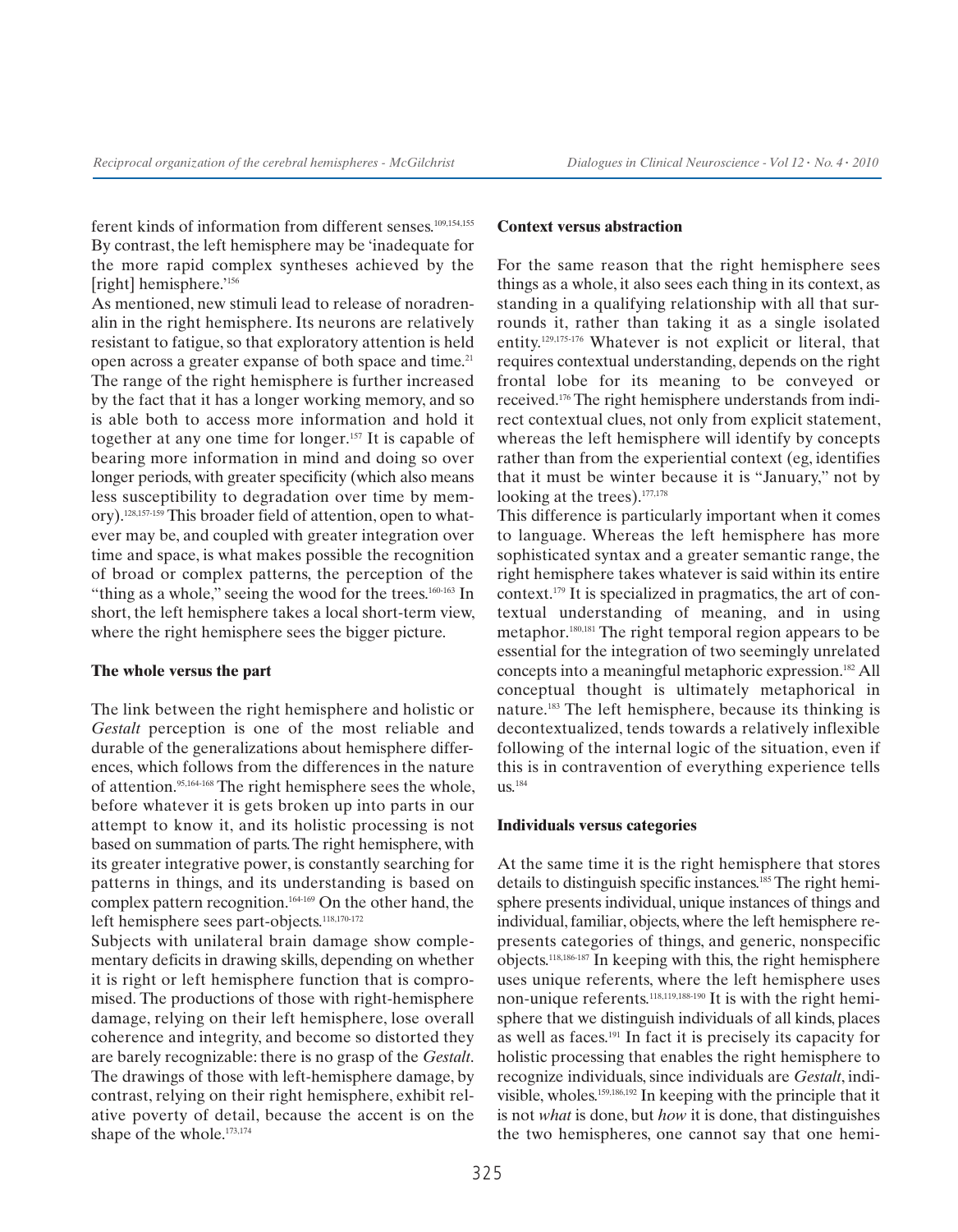ferent kinds of information from different senses.<sup>109,154,155</sup> By contrast, the left hemisphere may be 'inadequate for the more rapid complex syntheses achieved by the [right] hemisphere.'<sup>156</sup>

As mentioned, new stimuli lead to release of noradrenalin in the right hemisphere. Its neurons are relatively resistant to fatigue, so that exploratory attention is held open across a greater expanse of both space and time.<sup>21</sup> The range of the right hemisphere is further increased by the fact that it has a longer working memory, and so is able both to access more information and hold it together at any one time for longer.157 It is capable of bearing more information in mind and doing so over longer periods, with greater specificity (which also means less susceptibility to degradation over time by memory).128,157-159 This broader field of attention, open to whatever may be, and coupled with greater integration over time and space, is what makes possible the recognition of broad or complex patterns, the perception of the "thing as a whole," seeing the wood for the trees. $160-163$  In short, the left hemisphere takes a local short-term view, where the right hemisphere sees the bigger picture.

#### **The whole versus the part**

The link between the right hemisphere and holistic or *Gestalt* perception is one of the most reliable and durable of the generalizations about hemisphere differences, which follows from the differences in the nature of attention.95,164-168 The right hemisphere sees the whole, before whatever it is gets broken up into parts in our attempt to know it, and its holistic processing is not based on summation of parts. The right hemisphere, with its greater integrative power, is constantly searching for patterns in things, and its understanding is based on complex pattern recognition.164-169 On the other hand, the left hemisphere sees part-objects.<sup>118,170-172</sup>

Subjects with unilateral brain damage show complementary deficits in drawing skills, depending on whether it is right or left hemisphere function that is compromised. The productions of those with right-hemisphere damage, relying on their left hemisphere, lose overall coherence and integrity, and become so distorted they are barely recognizable: there is no grasp of the *Gestalt*. The drawings of those with left-hemisphere damage, by contrast, relying on their right hemisphere, exhibit relative poverty of detail, because the accent is on the shape of the whole.<sup>173,174</sup>

#### **Context versus abstraction**

For the same reason that the right hemisphere sees things as a whole, it also sees each thing in its context, as standing in a qualifying relationship with all that surrounds it, rather than taking it as a single isolated entity.129,175-176 Whatever is not explicit or literal, that requires contextual understanding, depends on the right frontal lobe for its meaning to be conveyed or received.176 The right hemisphere understands from indirect contextual clues, not only from explicit statement, whereas the left hemisphere will identify by concepts rather than from the experiential context (eg, identifies that it must be winter because it is "January," not by looking at the trees).<sup>177,178</sup>

This difference is particularly important when it comes to language. Whereas the left hemisphere has more sophisticated syntax and a greater semantic range, the right hemisphere takes whatever is said within its entire context.179 It is specialized in pragmatics, the art of contextual understanding of meaning, and in using metaphor.180,181 The right temporal region appears to be essential for the integration of two seemingly unrelated concepts into a meaningful metaphoric expression.182 All conceptual thought is ultimately metaphorical in nature.183 The left hemisphere, because its thinking is decontextualized, tends towards a relatively inflexible following of the internal logic of the situation, even if this is in contravention of everything experience tells us.184

#### **Individuals versus categories**

At the same time it is the right hemisphere that stores details to distinguish specific instances.<sup>185</sup> The right hemisphere presents individual, unique instances of things and individual, familiar, objects, where the left hemisphere represents categories of things, and generic, nonspecific objects.118,186-187 In keeping with this, the right hemisphere uses unique referents, where the left hemisphere uses non-unique referents.118,119,188-190 It is with the right hemisphere that we distinguish individuals of all kinds, places as well as faces.191 In fact it is precisely its capacity for holistic processing that enables the right hemisphere to recognize individuals, since individuals are *Gestalt*, indivisible, wholes.159,186,192 In keeping with the principle that it is not *what* is done, but *how* it is done, that distinguishes the two hemispheres, one cannot say that one hemi-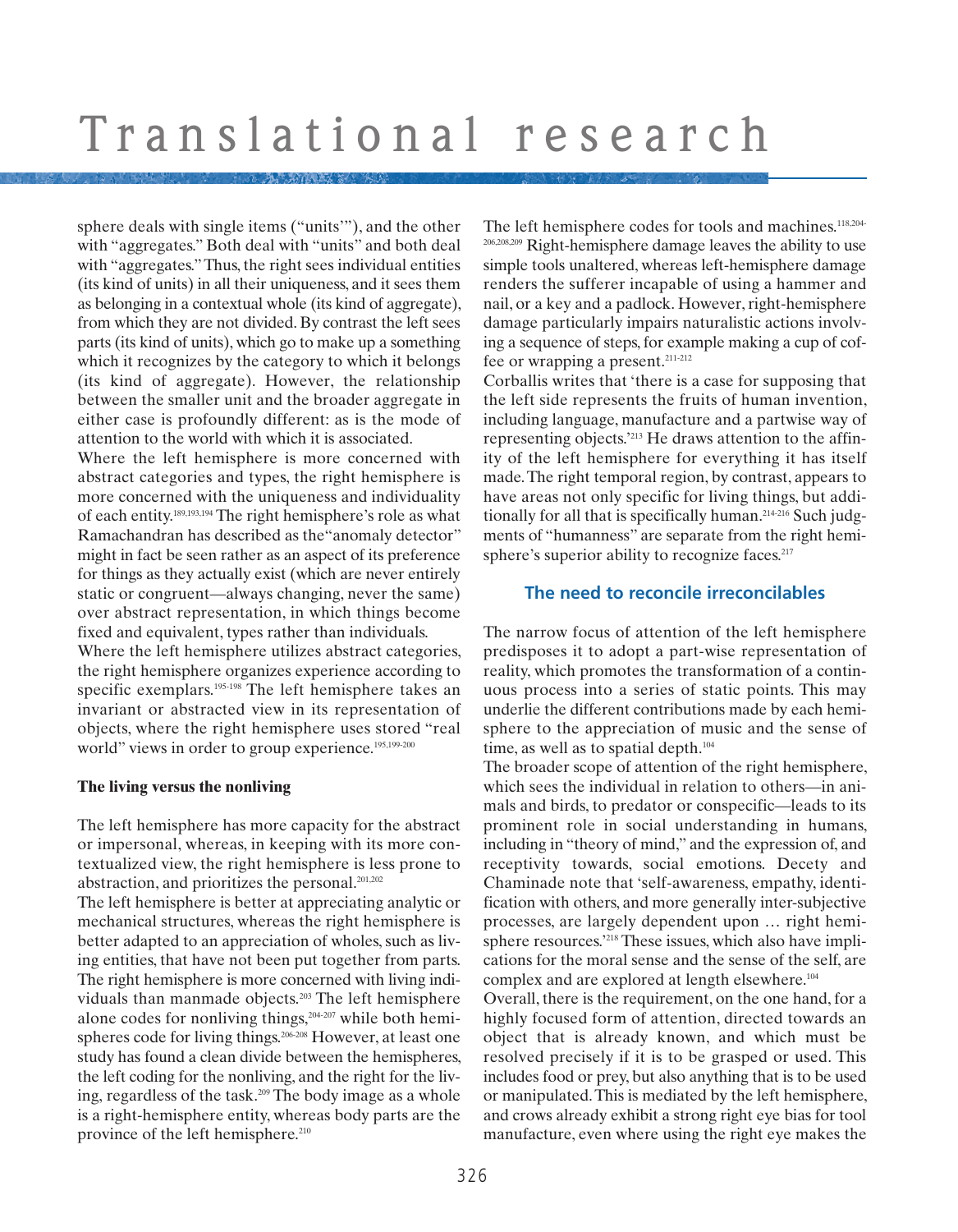sphere deals with single items ("units'"), and the other with "aggregates." Both deal with "units" and both deal with "aggregates." Thus, the right sees individual entities (its kind of units) in all their uniqueness, and it sees them as belonging in a contextual whole (its kind of aggregate), from which they are not divided. By contrast the left sees parts (its kind of units), which go to make up a something which it recognizes by the category to which it belongs (its kind of aggregate). However, the relationship between the smaller unit and the broader aggregate in either case is profoundly different: as is the mode of attention to the world with which it is associated.

Where the left hemisphere is more concerned with abstract categories and types, the right hemisphere is more concerned with the uniqueness and individuality of each entity.189,193,194 The right hemisphere's role as what Ramachandran has described as the"anomaly detector" might in fact be seen rather as an aspect of its preference for things as they actually exist (which are never entirely static or congruent—always changing, never the same) over abstract representation, in which things become fixed and equivalent, types rather than individuals.

Where the left hemisphere utilizes abstract categories, the right hemisphere organizes experience according to specific exemplars.<sup>195-198</sup> The left hemisphere takes an invariant or abstracted view in its representation of objects, where the right hemisphere uses stored "real world" views in order to group experience.<sup>195,199-200</sup>

#### **The living versus the nonliving**

The left hemisphere has more capacity for the abstract or impersonal, whereas, in keeping with its more contextualized view, the right hemisphere is less prone to abstraction, and prioritizes the personal.201,202

The left hemisphere is better at appreciating analytic or mechanical structures, whereas the right hemisphere is better adapted to an appreciation of wholes, such as living entities, that have not been put together from parts. The right hemisphere is more concerned with living individuals than manmade objects.203 The left hemisphere alone codes for nonliving things,<sup>204-207</sup> while both hemispheres code for living things.<sup>206-208</sup> However, at least one study has found a clean divide between the hemispheres, the left coding for the nonliving, and the right for the living, regardless of the task.209 The body image as a whole is a right-hemisphere entity, whereas body parts are the province of the left hemisphere.<sup>210</sup>

The left hemisphere codes for tools and machines.<sup>118,204-</sup> 206,208,209 Right-hemisphere damage leaves the ability to use simple tools unaltered, whereas left-hemisphere damage renders the sufferer incapable of using a hammer and nail, or a key and a padlock. However, right-hemisphere damage particularly impairs naturalistic actions involving a sequence of steps, for example making a cup of coffee or wrapping a present.<sup>211-212</sup>

Corballis writes that 'there is a case for supposing that the left side represents the fruits of human invention, including language, manufacture and a partwise way of representing objects.'213 He draws attention to the affinity of the left hemisphere for everything it has itself made. The right temporal region, by contrast, appears to have areas not only specific for living things, but additionally for all that is specifically human.<sup>214-216</sup> Such judgments of "humanness" are separate from the right hemisphere's superior ability to recognize faces.<sup>217</sup>

#### **The need to reconcile irreconcilables**

The narrow focus of attention of the left hemisphere predisposes it to adopt a part-wise representation of reality, which promotes the transformation of a continuous process into a series of static points. This may underlie the different contributions made by each hemisphere to the appreciation of music and the sense of time, as well as to spatial depth.<sup>104</sup>

The broader scope of attention of the right hemisphere, which sees the individual in relation to others—in animals and birds, to predator or conspecific—leads to its prominent role in social understanding in humans, including in "theory of mind," and the expression of, and receptivity towards, social emotions. Decety and Chaminade note that 'self-awareness, empathy, identification with others, and more generally inter-subjective processes, are largely dependent upon … right hemisphere resources.'218 These issues, which also have implications for the moral sense and the sense of the self, are complex and are explored at length elsewhere.104

Overall, there is the requirement, on the one hand, for a highly focused form of attention, directed towards an object that is already known, and which must be resolved precisely if it is to be grasped or used. This includes food or prey, but also anything that is to be used or manipulated. This is mediated by the left hemisphere, and crows already exhibit a strong right eye bias for tool manufacture, even where using the right eye makes the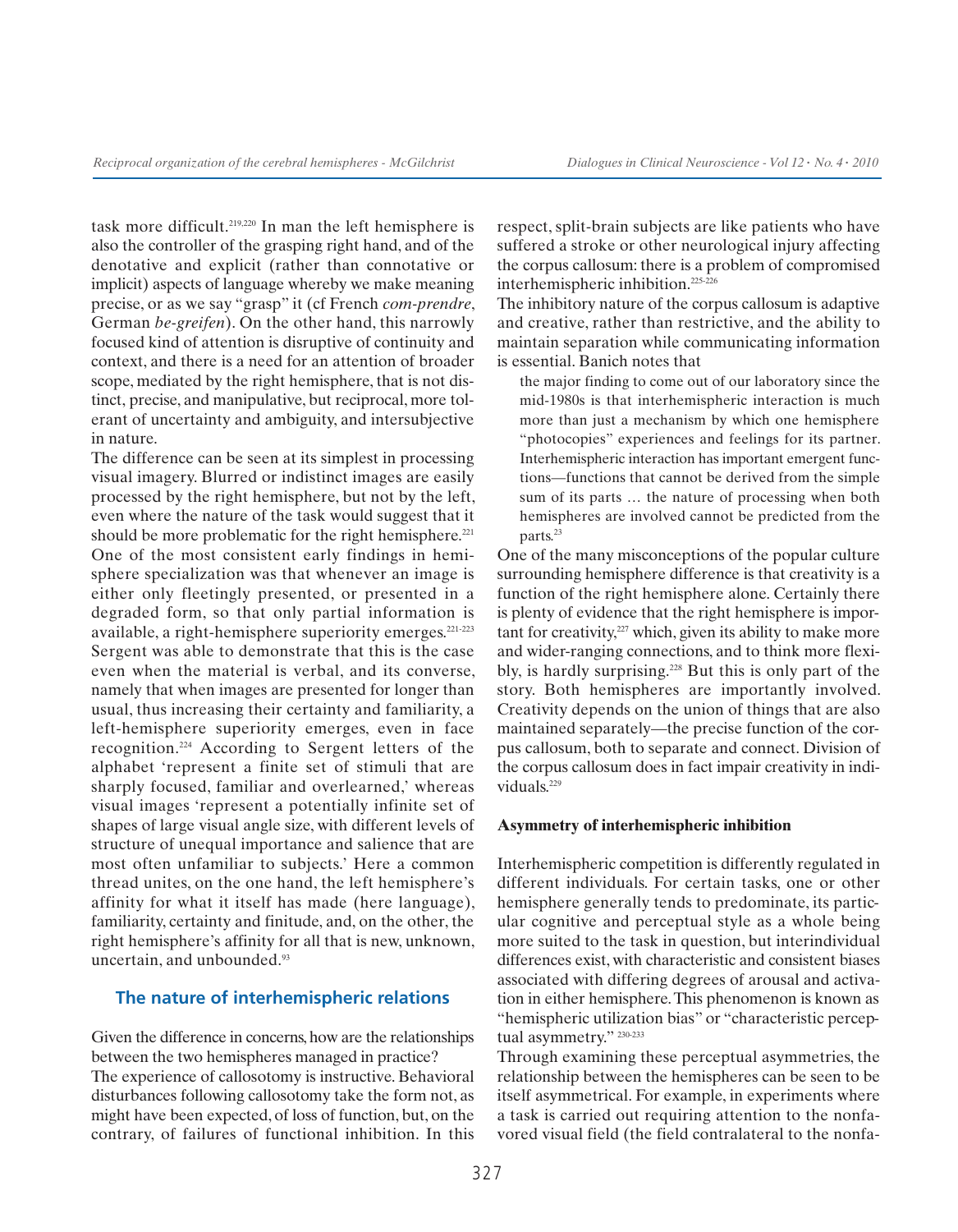task more difficult.219,220 In man the left hemisphere is also the controller of the grasping right hand, and of the denotative and explicit (rather than connotative or implicit) aspects of language whereby we make meaning precise, or as we say "grasp" it (cf French *com-prendre*, German *be-greifen*). On the other hand, this narrowly focused kind of attention is disruptive of continuity and context, and there is a need for an attention of broader scope, mediated by the right hemisphere, that is not distinct, precise, and manipulative, but reciprocal, more tolerant of uncertainty and ambiguity, and intersubjective in nature.

The difference can be seen at its simplest in processing visual imagery. Blurred or indistinct images are easily processed by the right hemisphere, but not by the left, even where the nature of the task would suggest that it should be more problematic for the right hemisphere.<sup>221</sup> One of the most consistent early findings in hemisphere specialization was that whenever an image is either only fleetingly presented, or presented in a degraded form, so that only partial information is available, a right-hemisphere superiority emerges.221-223 Sergent was able to demonstrate that this is the case even when the material is verbal, and its converse, namely that when images are presented for longer than usual, thus increasing their certainty and familiarity, a left-hemisphere superiority emerges, even in face recognition.224 According to Sergent letters of the alphabet 'represent a finite set of stimuli that are sharply focused, familiar and overlearned,' whereas visual images 'represent a potentially infinite set of shapes of large visual angle size, with different levels of structure of unequal importance and salience that are most often unfamiliar to subjects.' Here a common thread unites, on the one hand, the left hemisphere's affinity for what it itself has made (here language), familiarity, certainty and finitude, and, on the other, the right hemisphere's affinity for all that is new, unknown, uncertain, and unbounded.<sup>93</sup>

#### **The nature of interhemispheric relations**

Given the difference in concerns, how are the relationships between the two hemispheres managed in practice? The experience of callosotomy is instructive. Behavioral disturbances following callosotomy take the form not, as might have been expected, of loss of function, but, on the contrary, of failures of functional inhibition. In this respect, split-brain subjects are like patients who have suffered a stroke or other neurological injury affecting the corpus callosum: there is a problem of compromised interhemispheric inhibition.225-226

The inhibitory nature of the corpus callosum is adaptive and creative, rather than restrictive, and the ability to maintain separation while communicating information is essential. Banich notes that

the major finding to come out of our laboratory since the mid-1980s is that interhemispheric interaction is much more than just a mechanism by which one hemisphere "photocopies" experiences and feelings for its partner. Interhemispheric interaction has important emergent functions—functions that cannot be derived from the simple sum of its parts … the nature of processing when both hemispheres are involved cannot be predicted from the parts.<sup>23</sup>

One of the many misconceptions of the popular culture surrounding hemisphere difference is that creativity is a function of the right hemisphere alone. Certainly there is plenty of evidence that the right hemisphere is important for creativity, $227$  which, given its ability to make more and wider-ranging connections, and to think more flexibly, is hardly surprising.<sup>228</sup> But this is only part of the story. Both hemispheres are importantly involved. Creativity depends on the union of things that are also maintained separately—the precise function of the corpus callosum, both to separate and connect. Division of the corpus callosum does in fact impair creativity in individuals<sup>229</sup>

#### **Asymmetry of interhemispheric inhibition**

Interhemispheric competition is differently regulated in different individuals. For certain tasks, one or other hemisphere generally tends to predominate, its particular cognitive and perceptual style as a whole being more suited to the task in question, but interindividual differences exist, with characteristic and consistent biases associated with differing degrees of arousal and activation in either hemisphere. This phenomenon is known as "hemispheric utilization bias" or "characteristic perceptual asymmetry." 230-233

Through examining these perceptual asymmetries, the relationship between the hemispheres can be seen to be itself asymmetrical. For example, in experiments where a task is carried out requiring attention to the nonfavored visual field (the field contralateral to the nonfa-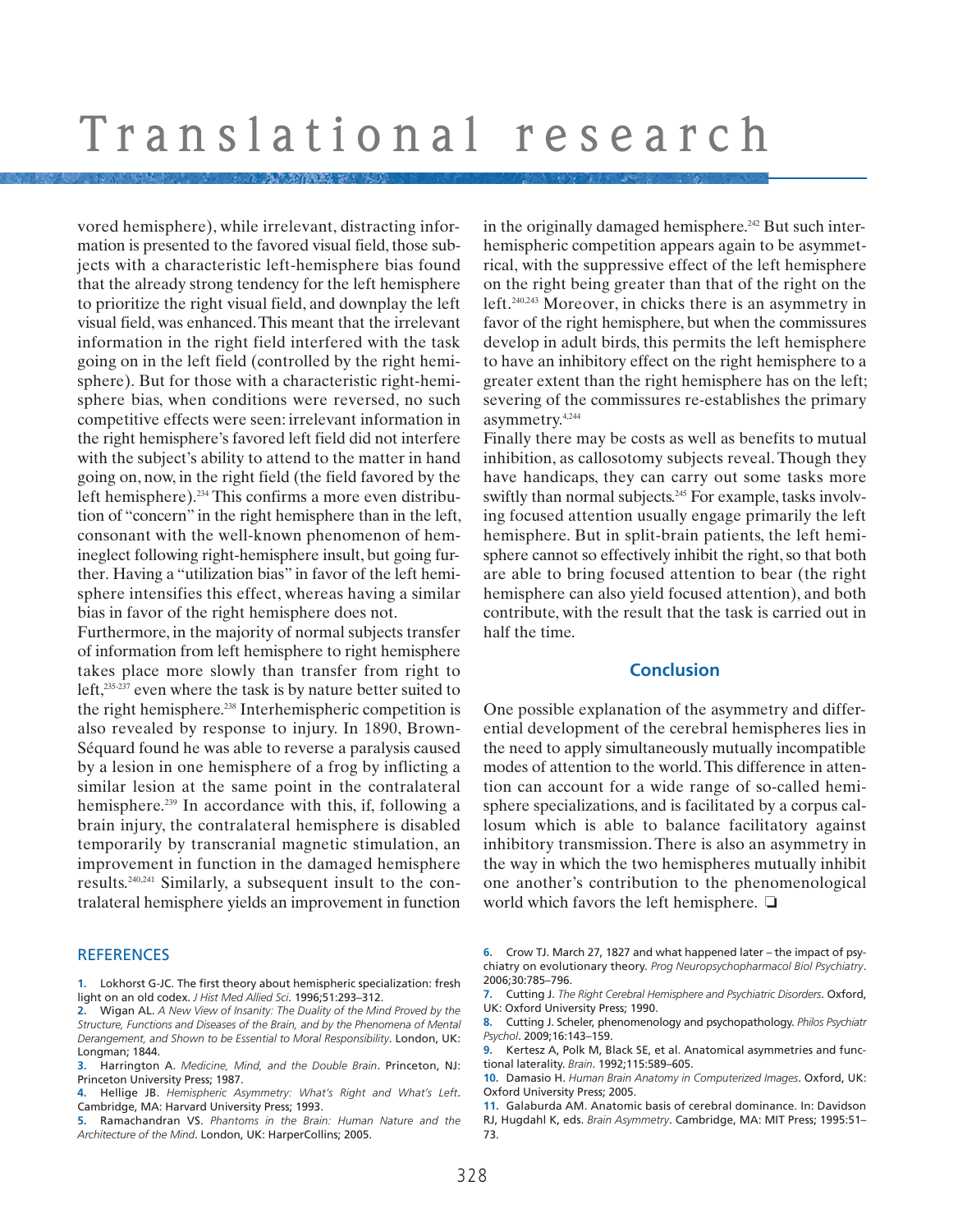vored hemisphere), while irrelevant, distracting information is presented to the favored visual field, those subjects with a characteristic left-hemisphere bias found that the already strong tendency for the left hemisphere to prioritize the right visual field, and downplay the left visual field, was enhanced. This meant that the irrelevant information in the right field interfered with the task going on in the left field (controlled by the right hemisphere). But for those with a characteristic right-hemisphere bias, when conditions were reversed, no such competitive effects were seen: irrelevant information in the right hemisphere's favored left field did not interfere with the subject's ability to attend to the matter in hand going on, now, in the right field (the field favored by the left hemisphere).234 This confirms a more even distribution of "concern" in the right hemisphere than in the left, consonant with the well-known phenomenon of hemineglect following right-hemisphere insult, but going further. Having a "utilization bias" in favor of the left hemisphere intensifies this effect, whereas having a similar bias in favor of the right hemisphere does not.

Furthermore, in the majority of normal subjects transfer of information from left hemisphere to right hemisphere takes place more slowly than transfer from right to left,<sup>235-237</sup> even where the task is by nature better suited to the right hemisphere.238 Interhemispheric competition is also revealed by response to injury. In 1890, Brown-Séquard found he was able to reverse a paralysis caused by a lesion in one hemisphere of a frog by inflicting a similar lesion at the same point in the contralateral hemisphere.<sup>239</sup> In accordance with this, if, following a brain injury, the contralateral hemisphere is disabled temporarily by transcranial magnetic stimulation, an improvement in function in the damaged hemisphere results.240,241 Similarly, a subsequent insult to the contralateral hemisphere yields an improvement in function

#### **REFERENCES**

- **1.** Lokhorst G-JC. The first theory about hemispheric specialization: fresh light on an old codex. *J Hist Med Allied Sci*. 1996;51:293–312.
- **2.** Wigan AL. *A New View of Insanity: The Duality of the Mind Proved by the Structure, Functions and Diseases of the Brain, and by the Phenomena of Mental Derangement, and Shown to be Essential to Moral Responsibility*. London, UK: Longman: 1844.
- **3.** Harrington A. *Medicine, Mind, and the Double Brain*. Princeton, NJ: Princeton University Press; 1987.
- **4.** Hellige JB. *Hemispheric Asymmetry: What's Right and What's Left*. Cambridge, MA: Harvard University Press; 1993.
- **5.** Ramachandran VS. *Phantoms in the Brain: Human Nature and the Architecture of the Mind*. London, UK: HarperCollins; 2005.

in the originally damaged hemisphere.<sup> $242$ </sup> But such interhemispheric competition appears again to be asymmetrical, with the suppressive effect of the left hemisphere on the right being greater than that of the right on the left.240,243 Moreover, in chicks there is an asymmetry in favor of the right hemisphere, but when the commissures develop in adult birds, this permits the left hemisphere to have an inhibitory effect on the right hemisphere to a greater extent than the right hemisphere has on the left; severing of the commissures re-establishes the primary asymmetry.4,244

Finally there may be costs as well as benefits to mutual inhibition, as callosotomy subjects reveal. Though they have handicaps, they can carry out some tasks more swiftly than normal subjects.<sup>245</sup> For example, tasks involving focused attention usually engage primarily the left hemisphere. But in split-brain patients, the left hemisphere cannot so effectively inhibit the right, so that both are able to bring focused attention to bear (the right hemisphere can also yield focused attention), and both contribute, with the result that the task is carried out in half the time.

#### **Conclusion**

One possible explanation of the asymmetry and differential development of the cerebral hemispheres lies in the need to apply simultaneously mutually incompatible modes of attention to the world. This difference in attention can account for a wide range of so-called hemisphere specializations, and is facilitated by a corpus callosum which is able to balance facilitatory against inhibitory transmission. There is also an asymmetry in the way in which the two hemispheres mutually inhibit one another's contribution to the phenomenological world which favors the left hemisphere. ❏

- **6.** Crow TJ. March 27, 1827 and what happened later the impact of psychiatry on evolutionary theory. *Prog Neuropsychopharmacol Biol Psychiatry*. 2006;30:785–796.
- **7.** Cutting J. *The Right Cerebral Hemisphere and Psychiatric Disorders*. Oxford, UK: Oxford University Press; 1990.
- **8.** Cutting J. Scheler, phenomenology and psychopathology. *Philos Psychiatr Psychol*. 2009;16:143–159.
- **9.** Kertesz A, Polk M, Black SE, et al. Anatomical asymmetries and functional laterality. *Brain*. 1992;115:589–605.

**10.** Damasio H. *Human Brain Anatomy in Computerized Images*. Oxford, UK: Oxford University Press; 2005.

- **11.** Galaburda AM. Anatomic basis of cerebral dominance. In: Davidson
- RJ, Hugdahl K, eds. *Brain Asymmetry*. Cambridge, MA: MIT Press; 1995:51– 73.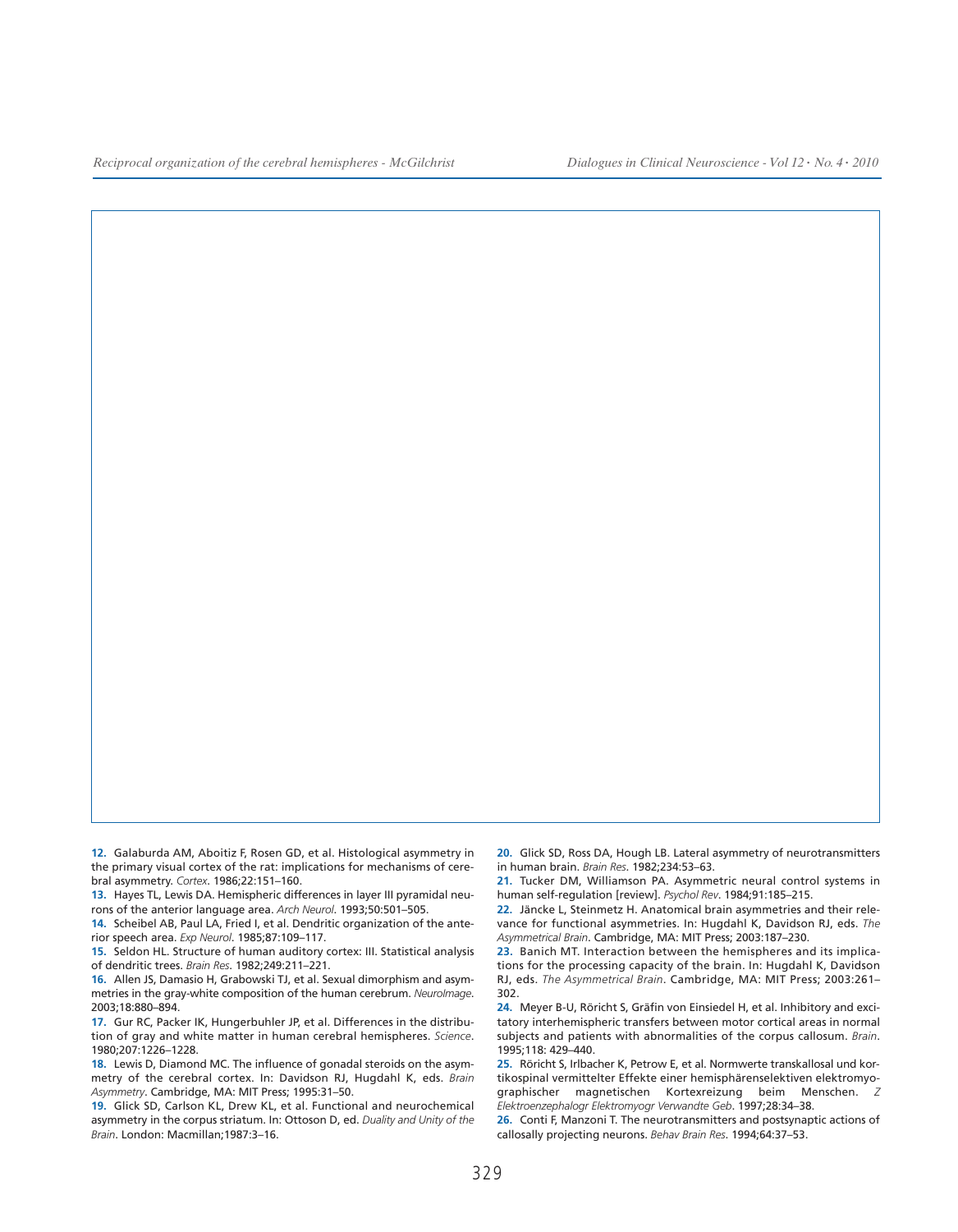**12.** Galaburda AM, Aboitiz F, Rosen GD, et al. Histological asymmetry in the primary visual cortex of the rat: implications for mechanisms of cerebral asymmetry. *Cortex*. 1986;22:151–160.

**13.** Hayes TL, Lewis DA. Hemispheric differences in layer III pyramidal neurons of the anterior language area. *Arch Neurol*. 1993;50:501–505.

**14.** Scheibel AB, Paul LA, Fried I, et al. Dendritic organization of the anterior speech area. *Exp Neurol*. 1985;87:109–117.

**15.** Seldon HL. Structure of human auditory cortex: III. Statistical analysis of dendritic trees. *Brain Res*. 1982;249:211–221.

**16.** Allen JS, Damasio H, Grabowski TJ, et al. Sexual dimorphism and asymmetries in the gray-white composition of the human cerebrum. *NeuroImage*. 2003;18:880–894.

**17.** Gur RC, Packer IK, Hungerbuhler JP, et al. Differences in the distribution of gray and white matter in human cerebral hemispheres. *Science*. 1980;207:1226–1228.

**18.** Lewis D, Diamond MC. The influence of gonadal steroids on the asymmetry of the cerebral cortex. In: Davidson RJ, Hugdahl K, eds. *Brain Asymmetry*. Cambridge, MA: MIT Press; 1995:31–50.

**19.** Glick SD, Carlson KL, Drew KL, et al. Functional and neurochemical asymmetry in the corpus striatum. In: Ottoson D, ed. *Duality and Unity of the Brain*. London: Macmillan;1987:3–16.

**20.** Glick SD, Ross DA, Hough LB. Lateral asymmetry of neurotransmitters in human brain. *Brain Res*. 1982;234:53–63.

**21.** Tucker DM, Williamson PA. Asymmetric neural control systems in human self-regulation [review]. *Psychol Rev*. 1984;91:185–215.

**22.** Jäncke L, Steinmetz H. Anatomical brain asymmetries and their relevance for functional asymmetries. In: Hugdahl K, Davidson RJ, eds. *The Asymmetrical Brain*. Cambridge, MA: MIT Press; 2003:187–230.

**23.** Banich MT. Interaction between the hemispheres and its implications for the processing capacity of the brain. In: Hugdahl K, Davidson RJ, eds. *The Asymmetrical Brain*. Cambridge, MA: MIT Press; 2003:261– 302.

**24.** Meyer B-U, Röricht S, Gräfin von Einsiedel H, et al. Inhibitory and excitatory interhemispheric transfers between motor cortical areas in normal subjects and patients with abnormalities of the corpus callosum. *Brain*. 1995;118: 429–440.

**25.** Röricht S, Irlbacher K, Petrow E, et al. Normwerte transkallosal und kortikospinal vermittelter Effekte einer hemisphärenselektiven elektromyographischer magnetischen Kortexreizung beim Menschen. *Elektroenzephalogr Elektromyogr Verwandte Geb*. 1997;28:34–38.

**26.** Conti F, Manzoni T. The neurotransmitters and postsynaptic actions of callosally projecting neurons. *Behav Brain Res*. 1994;64:37–53.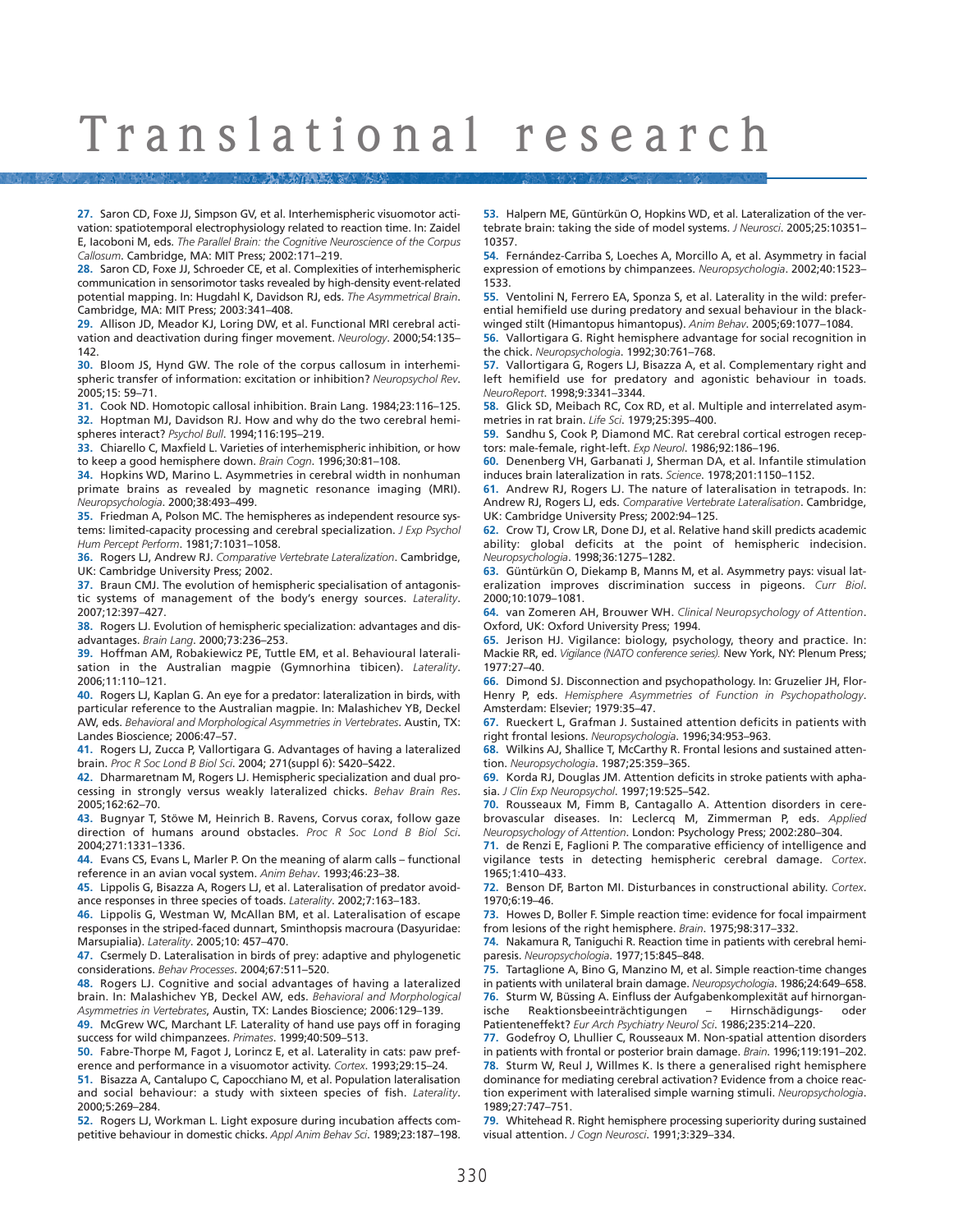**27.** Saron CD, Foxe JJ, Simpson GV, et al. Interhemispheric visuomotor activation: spatiotemporal electrophysiology related to reaction time. In: Zaidel E, Iacoboni M, eds. *The Parallel Brain: the Cognitive Neuroscience of the Corpus Callosum*. Cambridge, MA: MIT Press; 2002:171–219.

**28.** Saron CD, Foxe JJ, Schroeder CE, et al. Complexities of interhemispheric communication in sensorimotor tasks revealed by high-density event-related potential mapping. In: Hugdahl K, Davidson RJ, eds. *The Asymmetrical Brain*. Cambridge, MA: MIT Press; 2003:341–408.

**29.** Allison JD, Meador KJ, Loring DW, et al. Functional MRI cerebral activation and deactivation during finger movement. *Neurology*. 2000;54:135– 142.

**30.** Bloom JS, Hynd GW. The role of the corpus callosum in interhemispheric transfer of information: excitation or inhibition? *Neuropsychol Rev*. 2005;15: 59–71.

**31.** Cook ND. Homotopic callosal inhibition. Brain Lang. 1984;23:116–125. **32.** Hoptman MJ, Davidson RJ. How and why do the two cerebral hemispheres interact? *Psychol Bull*. 1994;116:195–219.

**33.** Chiarello C, Maxfield L. Varieties of interhemispheric inhibition, or how to keep a good hemisphere down. *Brain Cogn*. 1996;30:81–108.

**34.** Hopkins WD, Marino L. Asymmetries in cerebral width in nonhuman primate brains as revealed by magnetic resonance imaging (MRI). *Neuropsychologia*. 2000;38:493–499.

**35.** Friedman A, Polson MC. The hemispheres as independent resource systems: limited-capacity processing and cerebral specialization. *J Exp Psychol Hum Percept Perform*. 1981;7:1031–1058.

**36.** Rogers LJ, Andrew RJ. *Comparative Vertebrate Lateralization*. Cambridge, UK: Cambridge University Press; 2002.

**37.** Braun CMJ. The evolution of hemispheric specialisation of antagonistic systems of management of the body's energy sources. *Laterality*. 2007;12:397–427.

**38.** Rogers LJ. Evolution of hemispheric specialization: advantages and disadvantages. *Brain Lang*. 2000;73:236–253.

**39.** Hoffman AM, Robakiewicz PE, Tuttle EM, et al. Behavioural lateralisation in the Australian magpie (Gymnorhina tibicen). *Laterality*. 2006;11:110–121.

**40.** Rogers LJ, Kaplan G. An eye for a predator: lateralization in birds, with particular reference to the Australian magpie. In: Malashichev YB, Deckel AW, eds. *Behavioral and Morphological Asymmetries in Vertebrates*. Austin, TX: Landes Bioscience; 2006:47–57.

**41.** Rogers LJ, Zucca P, Vallortigara G. Advantages of having a lateralized brain. *Proc R Soc Lond B Biol Sci*. 2004; 271(suppl 6): S420–S422.

**42.** Dharmaretnam M, Rogers LJ. Hemispheric specialization and dual processing in strongly versus weakly lateralized chicks. *Behav Brain Res*. 2005;162:62–70.

**43.** Bugnyar T, Stöwe M, Heinrich B. Ravens, Corvus corax, follow gaze direction of humans around obstacles. *Proc R Soc Lond B Biol Sci*. 2004;271:1331–1336.

**44.** Evans CS, Evans L, Marler P. On the meaning of alarm calls – functional reference in an avian vocal system. *Anim Behav*. 1993;46:23–38.

**45.** Lippolis G, Bisazza A, Rogers LJ, et al. Lateralisation of predator avoidance responses in three species of toads. *Laterality*. 2002;7:163–183.

**46.** Lippolis G, Westman W, McAllan BM, et al. Lateralisation of escape responses in the striped-faced dunnart, Sminthopsis macroura (Dasyuridae: Marsupialia). *Laterality*. 2005;10: 457–470.

**47.** Csermely D. Lateralisation in birds of prey: adaptive and phylogenetic considerations. *Behav Processes*. 2004;67:511–520.

**48.** Rogers LJ. Cognitive and social advantages of having a lateralized brain. In: Malashichev YB, Deckel AW, eds. *Behavioral and Morphological Asymmetries in Vertebrates*, Austin, TX: Landes Bioscience; 2006:129–139.

**49.** McGrew WC, Marchant LF. Laterality of hand use pays off in foraging success for wild chimpanzees. *Primates*. 1999;40:509–513.

**50.** Fabre-Thorpe M, Fagot J, Lorincz E, et al. Laterality in cats: paw preference and performance in a visuomotor activity. *Cortex*. 1993;29:15–24.

**51.** Bisazza A, Cantalupo C, Capocchiano M, et al. Population lateralisation and social behaviour: a study with sixteen species of fish. *Laterality*. 2000;5:269–284.

**52.** Rogers LJ, Workman L. Light exposure during incubation affects competitive behaviour in domestic chicks. *Appl Anim Behav Sci*. 1989;23:187–198.

**53.** Halpern ME, Güntürkün O, Hopkins WD, et al. Lateralization of the vertebrate brain: taking the side of model systems. *J Neurosci*. 2005;25:10351– 10357.

**54.** Fernández-Carriba S, Loeches A, Morcillo A, et al. Asymmetry in facial expression of emotions by chimpanzees. *Neuropsychologia*. 2002;40:1523– 1533.

**55.** Ventolini N, Ferrero EA, Sponza S, et al. Laterality in the wild: preferential hemifield use during predatory and sexual behaviour in the blackwinged stilt (Himantopus himantopus). *Anim Behav*. 2005;69:1077–1084.

**56.** Vallortigara G. Right hemisphere advantage for social recognition in the chick. *Neuropsychologia*. 1992;30:761–768.

**57.** Vallortigara G, Rogers LJ, Bisazza A, et al. Complementary right and left hemifield use for predatory and agonistic behaviour in toads. *NeuroReport*. 1998;9:3341–3344.

**58.** Glick SD, Meibach RC, Cox RD, et al. Multiple and interrelated asymmetries in rat brain. *Life Sci*. 1979;25:395–400.

**59.** Sandhu S, Cook P, Diamond MC. Rat cerebral cortical estrogen receptors: male-female, right-left. *Exp Neurol*. 1986;92:186–196.

**60.** Denenberg VH, Garbanati J, Sherman DA, et al. Infantile stimulation induces brain lateralization in rats. *Science*. 1978;201:1150–1152.

**61.** Andrew RJ, Rogers LJ. The nature of lateralisation in tetrapods. In: Andrew RJ, Rogers LJ, eds. *Comparative Vertebrate Lateralisation*. Cambridge, UK: Cambridge University Press; 2002:94–125.

**62.** Crow TJ, Crow LR, Done DJ, et al. Relative hand skill predicts academic ability: global deficits at the point of hemispheric indecision. *Neuropsychologia*. 1998;36:1275–1282.

**63.** Güntürkün O, Diekamp B, Manns M, et al. Asymmetry pays: visual lateralization improves discrimination success in pigeons. *Curr Biol*. 2000;10:1079–1081.

**64.** van Zomeren AH, Brouwer WH. *Clinical Neuropsychology of Attention*. Oxford, UK: Oxford University Press; 1994.

**65.** Jerison HJ. Vigilance: biology, psychology, theory and practice. In: Mackie RR, ed. *Vigilance (NATO conference series).* New York, NY: Plenum Press; 1977:27–40.

**66.** Dimond SJ. Disconnection and psychopathology. In: Gruzelier JH, Flor-Henry P, eds. *Hemisphere Asymmetries of Function in Psychopathology*. Amsterdam: Elsevier; 1979:35–47.

**67.** Rueckert L, Grafman J. Sustained attention deficits in patients with right frontal lesions. *Neuropsychologia*. 1996;34:953–963.

**68.** Wilkins AJ, Shallice T, McCarthy R. Frontal lesions and sustained attention. *Neuropsychologia*. 1987;25:359–365.

**69.** Korda RJ, Douglas JM. Attention deficits in stroke patients with aphasia. *J Clin Exp Neuropsychol*. 1997;19:525–542.

**70.** Rousseaux M, Fimm B, Cantagallo A. Attention disorders in cerebrovascular diseases. In: Leclercq M, Zimmerman P, eds. *Applied Neuropsychology of Attention*. London: Psychology Press; 2002:280–304.

**71.** de Renzi E, Faglioni P. The comparative efficiency of intelligence and vigilance tests in detecting hemispheric cerebral damage. *Cortex*. 1965;1:410–433.

**72.** Benson DF, Barton MI. Disturbances in constructional ability. *Cortex*. 1970;6:19–46.

**73.** Howes D, Boller F. Simple reaction time: evidence for focal impairment from lesions of the right hemisphere. *Brain*. 1975;98:317–332.

**74.** Nakamura R, Taniguchi R. Reaction time in patients with cerebral hemiparesis. *Neuropsychologia*. 1977;15:845–848.

**75.** Tartaglione A, Bino G, Manzino M, et al. Simple reaction-time changes in patients with unilateral brain damage. *Neuropsychologia*. 1986;24:649–658. **76.** Sturm W, Büssing A. Einfluss der Aufgabenkomplexität auf hirnorganische Reaktionsbeeinträchtigungen – Hirnschädigungs- oder Patienteneffekt? *Eur Arch Psychiatry Neurol Sci*. 1986;235:214–220.

**77.** Godefroy O, Lhullier C, Rousseaux M. Non-spatial attention disorders in patients with frontal or posterior brain damage. *Brain*. 1996;119:191–202. **78.** Sturm W, Reul J, Willmes K. Is there a generalised right hemisphere dominance for mediating cerebral activation? Evidence from a choice reaction experiment with lateralised simple warning stimuli. *Neuropsychologia*. 1989;27:747–751.

**79.** Whitehead R. Right hemisphere processing superiority during sustained visual attention. *J Cogn Neurosci*. 1991;3:329–334.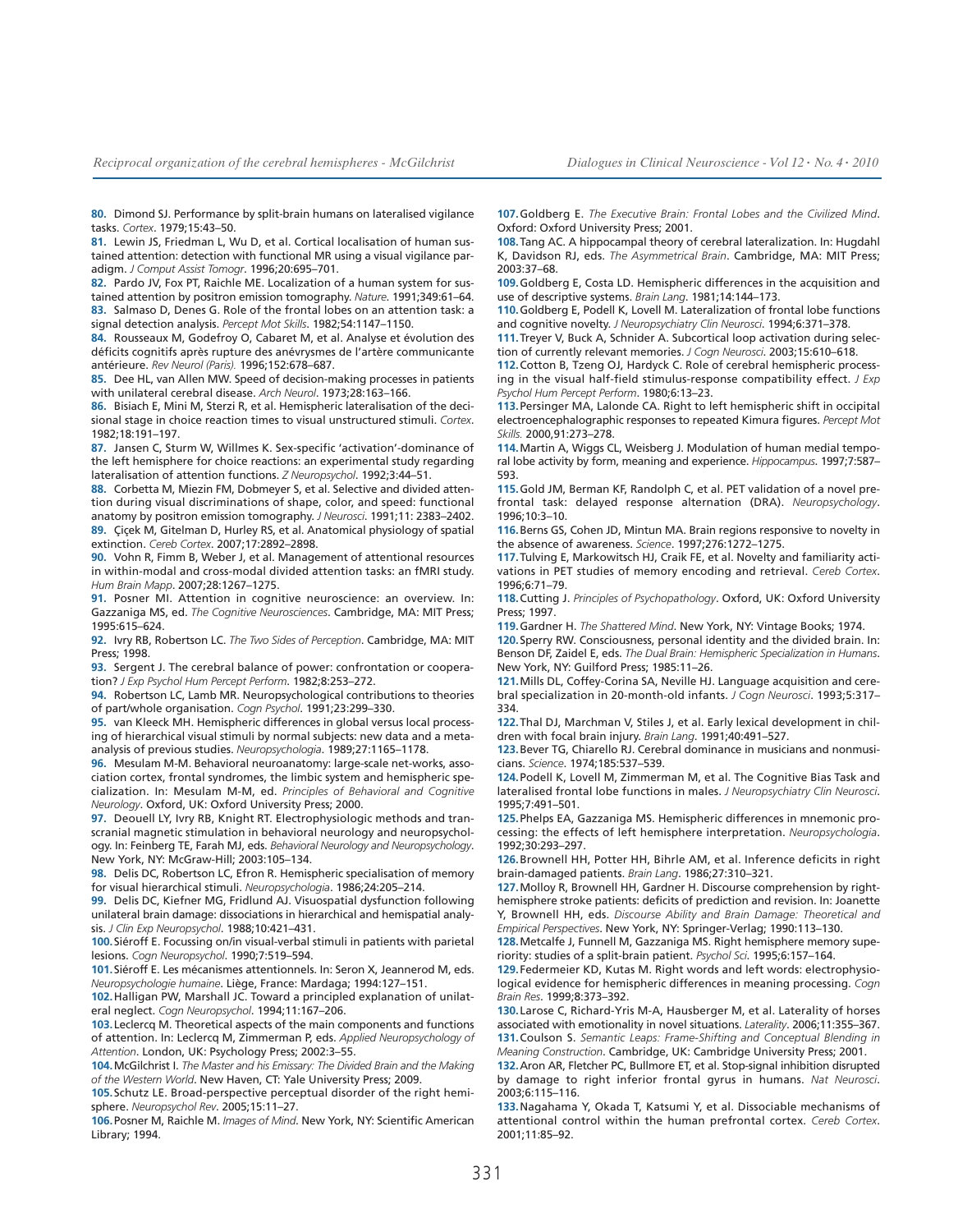**80.** Dimond SJ. Performance by split-brain humans on lateralised vigilance tasks. *Cortex*. 1979;15:43–50.

**81.** Lewin JS, Friedman L, Wu D, et al. Cortical localisation of human sustained attention: detection with functional MR using a visual vigilance paradigm. *J Comput Assist Tomogr*. 1996;20:695–701.

**82.** Pardo JV, Fox PT, Raichle ME. Localization of a human system for sustained attention by positron emission tomography. *Nature*. 1991;349:61–64. **83.** Salmaso D, Denes G. Role of the frontal lobes on an attention task: a

signal detection analysis. *Percept Mot Skills*. 1982;54:1147–1150. **84.** Rousseaux M, Godefroy O, Cabaret M, et al. Analyse et évolution des

déficits cognitifs après rupture des anévrysmes de l'artère communicante antérieure. *Rev Neurol (Paris).* 1996;152:678–687.

**85.** Dee HL, van Allen MW. Speed of decision-making processes in patients with unilateral cerebral disease. *Arch Neurol*. 1973;28:163–166.

**86.** Bisiach E, Mini M, Sterzi R, et al. Hemispheric lateralisation of the decisional stage in choice reaction times to visual unstructured stimuli. *Cortex*. 1982;18:191–197.

**87.** Jansen C, Sturm W, Willmes K. Sex-specific 'activation'-dominance of the left hemisphere for choice reactions: an experimental study regarding lateralisation of attention functions. *Z Neuropsychol*. 1992;3:44–51.

**88.** Corbetta M, Miezin FM, Dobmeyer S, et al. Selective and divided attention during visual discriminations of shape, color, and speed: functional anatomy by positron emission tomography. *J Neurosci*. 1991;11: 2383–2402.

**89.** Çiçek M, Gitelman D, Hurley RS, et al. Anatomical physiology of spatial extinction. *Cereb Cortex*. 2007;17:2892–2898.

**90.** Vohn R, Fimm B, Weber J, et al. Management of attentional resources in within-modal and cross-modal divided attention tasks: an fMRI study. *Hum Brain Mapp*. 2007;28:1267–1275.

**91.** Posner MI. Attention in cognitive neuroscience: an overview. In: Gazzaniga MS, ed. *The Cognitive Neurosciences*. Cambridge, MA: MIT Press; 1995:615–624.

**92.** Ivry RB, Robertson LC. *The Two Sides of Perception*. Cambridge, MA: MIT Press; 1998.

**93.** Sergent J. The cerebral balance of power: confrontation or cooperation? *J Exp Psychol Hum Percept Perform*. 1982;8:253–272.

**94.** Robertson LC, Lamb MR. Neuropsychological contributions to theories of part/whole organisation. *Cogn Psychol*. 1991;23:299–330.

**95.** van Kleeck MH. Hemispheric differences in global versus local processing of hierarchical visual stimuli by normal subjects: new data and a metaanalysis of previous studies. *Neuropsychologia*. 1989;27:1165–1178.

**96.** Mesulam M-M. Behavioral neuroanatomy: large-scale net-works, association cortex, frontal syndromes, the limbic system and hemispheric specialization. In: Mesulam M-M, ed. *Principles of Behavioral and Cognitive Neurology*. Oxford, UK: Oxford University Press; 2000.

**97.** Deouell LY, Ivry RB, Knight RT. Electrophysiologic methods and transcranial magnetic stimulation in behavioral neurology and neuropsychology. In: Feinberg TE, Farah MJ, eds. *Behavioral Neurology and Neuropsychology*. New York, NY: McGraw-Hill; 2003:105–134.

**98.** Delis DC, Robertson LC, Efron R. Hemispheric specialisation of memory for visual hierarchical stimuli. *Neuropsychologia*. 1986;24:205–214.

**99.** Delis DC, Kiefner MG, Fridlund AJ. Visuospatial dysfunction following unilateral brain damage: dissociations in hierarchical and hemispatial analysis. *J Clin Exp Neuropsychol*. 1988;10:421–431.

**100.**Siéroff E. Focussing on/in visual-verbal stimuli in patients with parietal lesions. *Cogn Neuropsychol*. 1990;7:519–594.

**101.**Siéroff E. Les mécanismes attentionnels. In: Seron X, Jeannerod M, eds. *Neuropsychologie humaine*. Liège, France: Mardaga; 1994:127–151.

**102.**Halligan PW, Marshall JC. Toward a principled explanation of unilateral neglect. *Cogn Neuropsychol*. 1994;11:167–206.

**103.**Leclercq M. Theoretical aspects of the main components and functions of attention. In: Leclercq M, Zimmerman P, eds. *Applied Neuropsychology of Attention*. London, UK: Psychology Press; 2002:3–55.

**104.**McGilchrist I. *The Master and his Emissary: The Divided Brain and the Making of the Western World*. New Haven, CT: Yale University Press; 2009.

**105.**Schutz LE. Broad-perspective perceptual disorder of the right hemisphere. *Neuropsychol Rev*. 2005;15:11–27.

**106.**Posner M, Raichle M. *Images of Mind*. New York, NY: Scientific American Library; 1994.

**107.**Goldberg E. *The Executive Brain: Frontal Lobes and the Civilized Mind*. Oxford: Oxford University Press; 2001.

**108.**Tang AC. A hippocampal theory of cerebral lateralization. In: Hugdahl K, Davidson RJ, eds. *The Asymmetrical Brain*. Cambridge, MA: MIT Press; 2003:37–68.

**109.**Goldberg E, Costa LD. Hemispheric differences in the acquisition and use of descriptive systems. *Brain Lang*. 1981;14:144–173.

**110.**Goldberg E, Podell K, Lovell M. Lateralization of frontal lobe functions and cognitive novelty. *J Neuropsychiatry Clin Neurosci*. 1994;6:371–378.

**111.**Treyer V, Buck A, Schnider A. Subcortical loop activation during selection of currently relevant memories. *J Cogn Neurosci*. 2003;15:610–618.

**112.**Cotton B, Tzeng OJ, Hardyck C. Role of cerebral hemispheric processing in the visual half-field stimulus-response compatibility effect. *J Exp Psychol Hum Percept Perform*. 1980;6:13–23.

**113.**Persinger MA, Lalonde CA. Right to left hemispheric shift in occipital electroencephalographic responses to repeated Kimura figures. *Percept Mot Skills.* 2000,91:273–278.

**114.**Martin A, Wiggs CL, Weisberg J. Modulation of human medial temporal lobe activity by form, meaning and experience. *Hippocampus*. 1997;7:587– 593.

**115.**Gold JM, Berman KF, Randolph C, et al. PET validation of a novel prefrontal task: delayed response alternation (DRA). *Neuropsychology*. 1996;10:3–10.

**116.**Berns GS, Cohen JD, Mintun MA. Brain regions responsive to novelty in the absence of awareness. *Science*. 1997;276:1272–1275.

**117.**Tulving E, Markowitsch HJ, Craik FE, et al. Novelty and familiarity activations in PET studies of memory encoding and retrieval. *Cereb Cortex*. 1996;6:71–79.

**118.**Cutting J. *Principles of Psychopathology*. Oxford, UK: Oxford University Press; 1997.

**119.**Gardner H. *The Shattered Mind*. New York, NY: Vintage Books; 1974.

**120.**Sperry RW. Consciousness, personal identity and the divided brain. In: Benson DF, Zaidel E, eds. *The Dual Brain: Hemispheric Specialization in Humans*. New York, NY: Guilford Press; 1985:11–26.

**121.**Mills DL, Coffey-Corina SA, Neville HJ. Language acquisition and cerebral specialization in 20-month-old infants. *J Cogn Neurosci*. 1993;5:317– 334.

**122.**Thal DJ, Marchman V, Stiles J, et al. Early lexical development in children with focal brain injury. *Brain Lang*. 1991;40:491–527.

**123.**Bever TG, Chiarello RJ. Cerebral dominance in musicians and nonmusicians. *Science*. 1974;185:537–539.

**124.**Podell K, Lovell M, Zimmerman M, et al. The Cognitive Bias Task and lateralised frontal lobe functions in males. *J Neuropsychiatry Clin Neurosci*. 1995;7:491–501.

**125.**Phelps EA, Gazzaniga MS. Hemispheric differences in mnemonic processing: the effects of left hemisphere interpretation. *Neuropsychologia*. 1992;30:293–297.

**126.**Brownell HH, Potter HH, Bihrle AM, et al. Inference deficits in right brain-damaged patients. *Brain Lang*. 1986;27:310–321.

**127.**Molloy R, Brownell HH, Gardner H. Discourse comprehension by righthemisphere stroke patients: deficits of prediction and revision. In: Joanette Y, Brownell HH, eds. *Discourse Ability and Brain Damage: Theoretical and Empirical Perspectives*. New York, NY: Springer-Verlag; 1990:113–130.

**128.**Metcalfe J, Funnell M, Gazzaniga MS. Right hemisphere memory superiority: studies of a split-brain patient. *Psychol Sci*. 1995;6:157–164.

**129.**Federmeier KD, Kutas M. Right words and left words: electrophysiological evidence for hemispheric differences in meaning processing. *Cogn Brain Res*. 1999;8:373–392.

**130.**Larose C, Richard-Yris M-A, Hausberger M, et al. Laterality of horses associated with emotionality in novel situations. *Laterality*. 2006;11:355–367. **131.**Coulson S. *Semantic Leaps: Frame-Shifting and Conceptual Blending in*

*Meaning Construction*. Cambridge, UK: Cambridge University Press; 2001. **132.**Aron AR, Fletcher PC, Bullmore ET, et al. Stop-signal inhibition disrupted by damage to right inferior frontal gyrus in humans. *Nat Neurosci*. 2003;6:115–116.

**133.**Nagahama Y, Okada T, Katsumi Y, et al. Dissociable mechanisms of attentional control within the human prefrontal cortex. *Cereb Cortex*. 2001;11:85–92.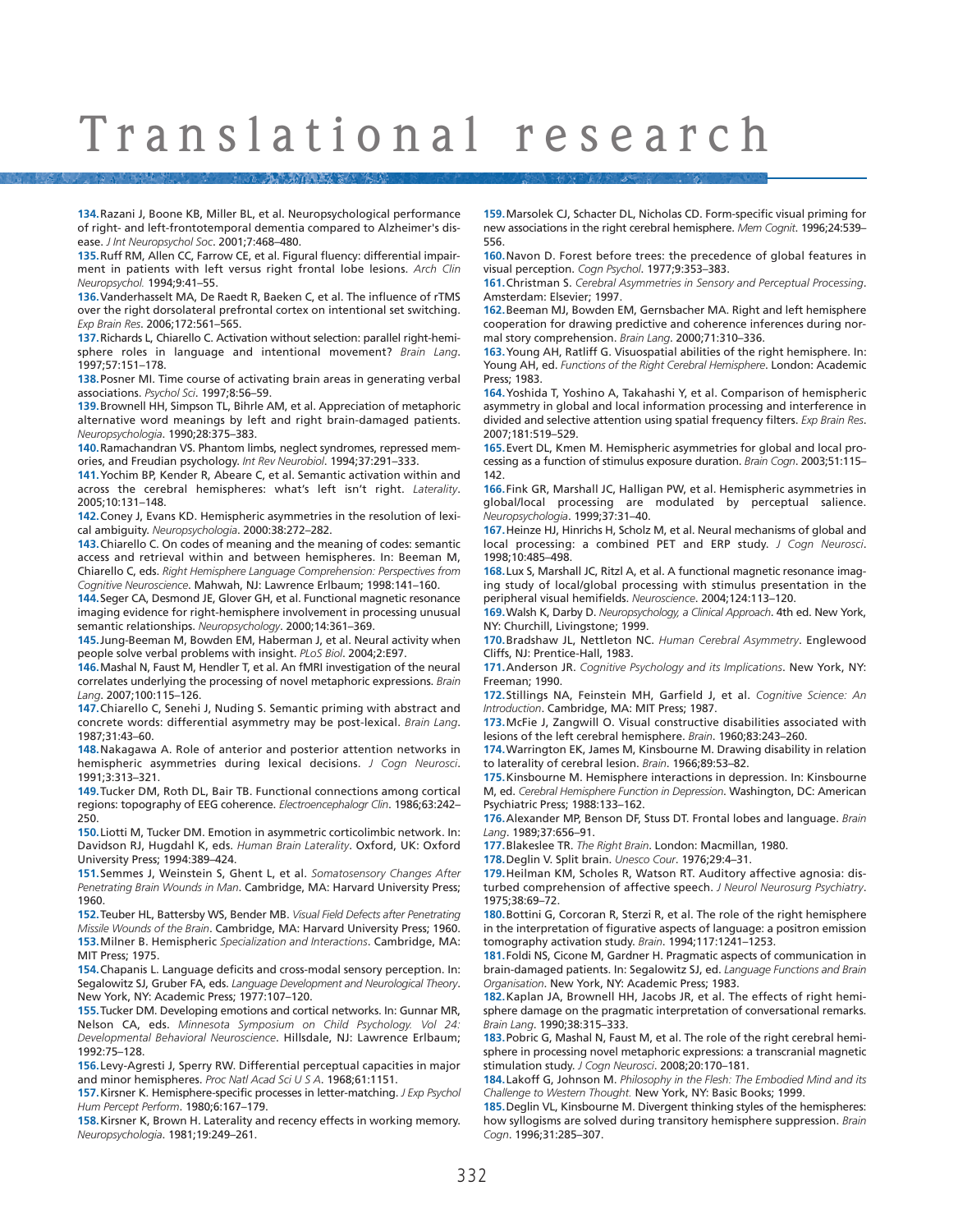**134.**Razani J, Boone KB, Miller BL, et al. Neuropsychological performance of right- and left-frontotemporal dementia compared to Alzheimer's disease. *J Int Neuropsychol Soc*. 2001;7:468–480.

**135.**Ruff RM, Allen CC, Farrow CE, et al. Figural fluency: differential impairment in patients with left versus right frontal lobe lesions. *Arch Clin Neuropsychol.* 1994;9:41–55.

**136.**Vanderhasselt MA, De Raedt R, Baeken C, et al. The influence of rTMS over the right dorsolateral prefrontal cortex on intentional set switching. *Exp Brain Res*. 2006;172:561–565.

**137.**Richards L, Chiarello C. Activation without selection: parallel right-hemisphere roles in language and intentional movement? *Brain Lang*. 1997;57:151–178.

**138.**Posner MI. Time course of activating brain areas in generating verbal associations. *Psychol Sci*. 1997;8:56–59.

**139.**Brownell HH, Simpson TL, Bihrle AM, et al. Appreciation of metaphoric alternative word meanings by left and right brain-damaged patients. *Neuropsychologia*. 1990;28:375–383.

**140.**Ramachandran VS. Phantom limbs, neglect syndromes, repressed memories, and Freudian psychology. *Int Rev Neurobiol*. 1994;37:291–333.

**141.**Yochim BP, Kender R, Abeare C, et al. Semantic activation within and across the cerebral hemispheres: what's left isn't right. *Laterality*. 2005;10:131–148.

**142.**Coney J, Evans KD. Hemispheric asymmetries in the resolution of lexical ambiguity. *Neuropsychologia*. 2000:38:272–282.

**143.**Chiarello C. On codes of meaning and the meaning of codes: semantic access and retrieval within and between hemispheres. In: Beeman M, Chiarello C, eds. *Right Hemisphere Language Comprehension: Perspectives from Cognitive Neuroscience*. Mahwah, NJ: Lawrence Erlbaum; 1998:141–160.

**144.**Seger CA, Desmond JE, Glover GH, et al. Functional magnetic resonance imaging evidence for right-hemisphere involvement in processing unusual semantic relationships. *Neuropsychology*. 2000;14:361–369.

**145.**Jung-Beeman M, Bowden EM, Haberman J, et al. Neural activity when people solve verbal problems with insight. *PLoS Biol*. 2004;2:E97.

**146.**Mashal N, Faust M, Hendler T, et al. An fMRI investigation of the neural correlates underlying the processing of novel metaphoric expressions. *Brain Lang*. 2007;100:115–126.

**147.**Chiarello C, Senehi J, Nuding S. Semantic priming with abstract and concrete words: differential asymmetry may be post-lexical. *Brain Lang*. 1987;31:43–60.

**148.**Nakagawa A. Role of anterior and posterior attention networks in hemispheric asymmetries during lexical decisions. *J Cogn Neurosci*. 1991;3:313–321.

**149.**Tucker DM, Roth DL, Bair TB. Functional connections among cortical regions: topography of EEG coherence. *Electroencephalogr Clin*. 1986;63:242– 250.

**150.**Liotti M, Tucker DM. Emotion in asymmetric corticolimbic network. In: Davidson RJ, Hugdahl K, eds. *Human Brain Laterality*. Oxford, UK: Oxford University Press; 1994:389–424.

**151.**Semmes J, Weinstein S, Ghent L, et al. *Somatosensory Changes After Penetrating Brain Wounds in Man*. Cambridge, MA: Harvard University Press; 1960.

**152.**Teuber HL, Battersby WS, Bender MB. *Visual Field Defects after Penetrating Missile Wounds of the Brain*. Cambridge, MA: Harvard University Press; 1960. **153.**Milner B. Hemispheric *Specialization and Interactions*. Cambridge, MA: MIT Press; 1975.

**154.**Chapanis L. Language deficits and cross-modal sensory perception. In: Segalowitz SJ, Gruber FA, eds. *Language Development and Neurological Theory*. New York, NY: Academic Press; 1977:107–120.

**155.**Tucker DM. Developing emotions and cortical networks. In: Gunnar MR, Nelson CA, eds. *Minnesota Symposium on Child Psychology. Vol 24: Developmental Behavioral Neuroscience*. Hillsdale, NJ: Lawrence Erlbaum; 1992:75–128.

**156.**Levy-Agresti J, Sperry RW. Differential perceptual capacities in major and minor hemispheres. *Proc Natl Acad Sci U S A*. 1968;61:1151.

**157.**Kirsner K. Hemisphere-specific processes in letter-matching. *J Exp Psychol Hum Percept Perform*. 1980;6:167–179.

**158.**Kirsner K, Brown H. Laterality and recency effects in working memory. *Neuropsychologia*. 1981;19:249–261.

**159.**Marsolek CJ, Schacter DL, Nicholas CD. Form-specific visual priming for new associations in the right cerebral hemisphere. *Mem Cognit*. 1996;24:539– 556.

**160.**Navon D. Forest before trees: the precedence of global features in visual perception. *Cogn Psychol*. 1977;9:353–383.

**161.**Christman S. *Cerebral Asymmetries in Sensory and Perceptual Processing*. Amsterdam: Elsevier; 1997.

**162.**Beeman MJ, Bowden EM, Gernsbacher MA. Right and left hemisphere cooperation for drawing predictive and coherence inferences during normal story comprehension. *Brain Lang*. 2000;71:310–336.

**163.**Young AH, Ratliff G. Visuospatial abilities of the right hemisphere. In: Young AH, ed. *Functions of the Right Cerebral Hemisphere*. London: Academic Press; 1983.

**164.**Yoshida T, Yoshino A, Takahashi Y, et al. Comparison of hemispheric asymmetry in global and local information processing and interference in divided and selective attention using spatial frequency filters. *Exp Brain Res*. 2007;181:519–529.

**165.**Evert DL, Kmen M. Hemispheric asymmetries for global and local processing as a function of stimulus exposure duration. *Brain Cogn*. 2003;51:115– 142.

**166.**Fink GR, Marshall JC, Halligan PW, et al. Hemispheric asymmetries in global/local processing are modulated by perceptual salience. *Neuropsychologia*. 1999;37:31–40.

**167.**Heinze HJ, Hinrichs H, Scholz M, et al. Neural mechanisms of global and local processing: a combined PET and ERP study. *J Cogn Neurosci*. 1998;10:485–498.

**168.**Lux S, Marshall JC, Ritzl A, et al. A functional magnetic resonance imaging study of local/global processing with stimulus presentation in the peripheral visual hemifields. *Neuroscience*. 2004;124:113–120.

**169.**Walsh K, Darby D. *Neuropsychology, a Clinical Approach*. 4th ed. New York, NY: Churchill, Livingstone; 1999.

**170.**Bradshaw JL, Nettleton NC. *Human Cerebral Asymmetry*. Englewood Cliffs, NJ: Prentice-Hall, 1983.

**171.**Anderson JR. *Cognitive Psychology and its Implications*. New York, NY: Freeman; 1990.

**172.**Stillings NA, Feinstein MH, Garfield J, et al. *Cognitive Science: An Introduction*. Cambridge, MA: MIT Press; 1987.

**173.**McFie J, Zangwill O. Visual constructive disabilities associated with lesions of the left cerebral hemisphere. *Brain*. 1960;83:243–260.

**174.**Warrington EK, James M, Kinsbourne M. Drawing disability in relation to laterality of cerebral lesion. *Brain*. 1966;89:53–82.

**175.**Kinsbourne M. Hemisphere interactions in depression. In: Kinsbourne M, ed. *Cerebral Hemisphere Function in Depression*. Washington, DC: American Psychiatric Press; 1988:133–162.

**176.**Alexander MP, Benson DF, Stuss DT. Frontal lobes and language. *Brain Lang*. 1989;37:656–91.

**177.**Blakeslee TR. *The Right Brain*. London: Macmillan, 1980.

**178.**Deglin V. Split brain. *Unesco Cour*. 1976;29:4–31.

**179.**Heilman KM, Scholes R, Watson RT. Auditory affective agnosia: disturbed comprehension of affective speech. *J Neurol Neurosurg Psychiatry*. 1975;38:69–72.

**180.**Bottini G, Corcoran R, Sterzi R, et al. The role of the right hemisphere in the interpretation of figurative aspects of language: a positron emission tomography activation study. *Brain*. 1994;117:1241–1253.

**181.**Foldi NS, Cicone M, Gardner H. Pragmatic aspects of communication in brain-damaged patients. In: Segalowitz SJ, ed. *Language Functions and Brain Organisation*. New York, NY: Academic Press; 1983.

**182.**Kaplan JA, Brownell HH, Jacobs JR, et al. The effects of right hemisphere damage on the pragmatic interpretation of conversational remarks. *Brain Lang*. 1990;38:315–333.

**183.**Pobric G, Mashal N, Faust M, et al. The role of the right cerebral hemisphere in processing novel metaphoric expressions: a transcranial magnetic stimulation study. *J Cogn Neurosci*. 2008;20:170–181.

**184.**Lakoff G, Johnson M. *Philosophy in the Flesh: The Embodied Mind and its Challenge to Western Thought.* New York, NY: Basic Books; 1999.

**185.**Deglin VL, Kinsbourne M. Divergent thinking styles of the hemispheres: how syllogisms are solved during transitory hemisphere suppression. *Brain Cogn*. 1996;31:285–307.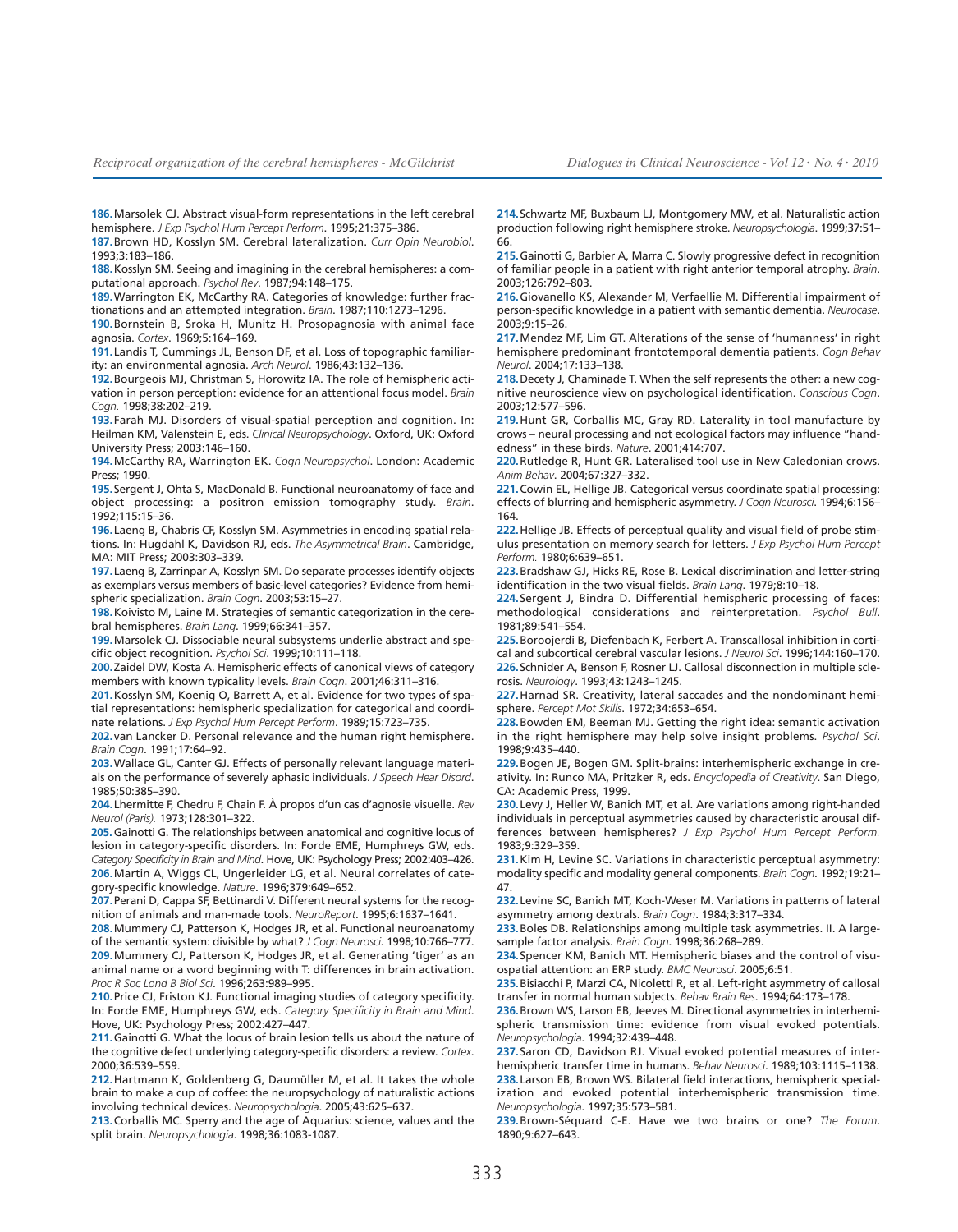**186.**Marsolek CJ. Abstract visual-form representations in the left cerebral hemisphere. *J Exp Psychol Hum Percept Perform*. 1995;21:375–386.

**187.**Brown HD, Kosslyn SM. Cerebral lateralization. *Curr Opin Neurobiol*. 1993;3:183–186.

**188.**Kosslyn SM. Seeing and imagining in the cerebral hemispheres: a computational approach. *Psychol Rev*. 1987;94:148–175.

**189.**Warrington EK, McCarthy RA. Categories of knowledge: further fractionations and an attempted integration. *Brain*. 1987;110:1273–1296.

**190.**Bornstein B, Sroka H, Munitz H. Prosopagnosia with animal face agnosia. *Cortex*. 1969;5:164–169.

**191.**Landis T, Cummings JL, Benson DF, et al. Loss of topographic familiarity: an environmental agnosia. *Arch Neurol*. 1986;43:132–136.

**192.**Bourgeois MJ, Christman S, Horowitz IA. The role of hemispheric activation in person perception: evidence for an attentional focus model. *Brain Cogn.* 1998;38:202–219.

**193.**Farah MJ. Disorders of visual-spatial perception and cognition. In: Heilman KM, Valenstein E, eds. *Clinical Neuropsychology*. Oxford, UK: Oxford University Press; 2003:146–160.

**194.**McCarthy RA, Warrington EK. *Cogn Neuropsychol*. London: Academic Press; 1990.

**195.**Sergent J, Ohta S, MacDonald B. Functional neuroanatomy of face and object processing: a positron emission tomography study. *Brain*. 1992;115:15–36.

**196.**Laeng B, Chabris CF, Kosslyn SM. Asymmetries in encoding spatial relations. In: Hugdahl K, Davidson RJ, eds. *The Asymmetrical Brain*. Cambridge, MA: MIT Press; 2003:303–339.

**197.**Laeng B, Zarrinpar A, Kosslyn SM. Do separate processes identify objects as exemplars versus members of basic-level categories? Evidence from hemispheric specialization. *Brain Cogn*. 2003;53:15–27.

**198.**Koivisto M, Laine M. Strategies of semantic categorization in the cerebral hemispheres. *Brain Lang*. 1999;66:341–357.

**199.**Marsolek CJ. Dissociable neural subsystems underlie abstract and specific object recognition. *Psychol Sci*. 1999;10:111–118.

**200.**Zaidel DW, Kosta A. Hemispheric effects of canonical views of category members with known typicality levels. *Brain Cogn*. 2001;46:311–316.

**201.**Kosslyn SM, Koenig O, Barrett A, et al. Evidence for two types of spatial representations: hemispheric specialization for categorical and coordinate relations. *J Exp Psychol Hum Percept Perform*. 1989;15:723–735.

**202.**van Lancker D. Personal relevance and the human right hemisphere. *Brain Cogn*. 1991;17:64–92.

**203.**Wallace GL, Canter GJ. Effects of personally relevant language materials on the performance of severely aphasic individuals. *J Speech Hear Disord*. 1985;50:385–390.

**204.**Lhermitte F, Chedru F, Chain F. À propos d'un cas d'agnosie visuelle. *Rev Neurol (Paris).* 1973;128:301–322.

**205.** Gainotti G. The relationships between anatomical and cognitive locus of lesion in category-specific disorders. In: Forde EME, Humphreys GW, eds. *Category Specificity in Brain and Mind*. Hove, UK: Psychology Press; 2002:403–426. **206.**Martin A, Wiggs CL, Ungerleider LG, et al. Neural correlates of category-specific knowledge. *Nature*. 1996;379:649–652.

**207.**Perani D, Cappa SF, Bettinardi V. Different neural systems for the recognition of animals and man-made tools. *NeuroReport*. 1995;6:1637–1641.

**208.**Mummery CJ, Patterson K, Hodges JR, et al. Functional neuroanatomy of the semantic system: divisible by what? *J Cogn Neurosci*. 1998;10:766–777. **209.**Mummery CJ, Patterson K, Hodges JR, et al. Generating 'tiger' as an animal name or a word beginning with T: differences in brain activation. *Proc R Soc Lond B Biol Sci*. 1996;263:989–995.

**210.**Price CJ, Friston KJ. Functional imaging studies of category specificity. In: Forde EME, Humphreys GW, eds. *Category Specificity in Brain and Mind*. Hove, UK: Psychology Press; 2002:427–447.

**211.**Gainotti G. What the locus of brain lesion tells us about the nature of the cognitive defect underlying category-specific disorders: a review. *Cortex*. 2000;36:539–559.

**212.**Hartmann K, Goldenberg G, Daumüller M, et al. It takes the whole brain to make a cup of coffee: the neuropsychology of naturalistic actions involving technical devices. *Neuropsychologia*. 2005;43:625–637.

**213.**Corballis MC. Sperry and the age of Aquarius: science, values and the split brain. *Neuropsychologia*. 1998;36:1083-1087.

**214.**Schwartz MF, Buxbaum LJ, Montgomery MW, et al. Naturalistic action production following right hemisphere stroke. *Neuropsychologia*. 1999;37:51– 66.

**215.**Gainotti G, Barbier A, Marra C. Slowly progressive defect in recognition of familiar people in a patient with right anterior temporal atrophy. *Brain*. 2003;126:792–803.

**216.**Giovanello KS, Alexander M, Verfaellie M. Differential impairment of person-specific knowledge in a patient with semantic dementia. *Neurocase*. 2003;9:15–26.

**217.**Mendez MF, Lim GT. Alterations of the sense of 'humanness' in right hemisphere predominant frontotemporal dementia patients. *Cogn Behav Neurol*. 2004;17:133–138.

**218.**Decety J, Chaminade T. When the self represents the other: a new cognitive neuroscience view on psychological identification. *Conscious Cogn*. 2003;12:577–596.

**219.**Hunt GR, Corballis MC, Gray RD. Laterality in tool manufacture by crows – neural processing and not ecological factors may influence "handedness" in these birds. *Nature*. 2001;414:707.

**220.**Rutledge R, Hunt GR. Lateralised tool use in New Caledonian crows. *Anim Behav*. 2004;67:327–332.

**221.**Cowin EL, Hellige JB. Categorical versus coordinate spatial processing: effects of blurring and hemispheric asymmetry. *J Cogn Neurosci*. 1994;6:156– 164.

**222.**Hellige JB. Effects of perceptual quality and visual field of probe stimulus presentation on memory search for letters. *J Exp Psychol Hum Percept Perform.* 1980;6:639–651.

**223.**Bradshaw GJ, Hicks RE, Rose B. Lexical discrimination and letter-string identification in the two visual fields. *Brain Lang*. 1979;8:10–18.

**224.**Sergent J, Bindra D. Differential hemispheric processing of faces: methodological considerations and reinterpretation. *Psychol Bull*. 1981;89:541–554.

**225.**Boroojerdi B, Diefenbach K, Ferbert A. Transcallosal inhibition in cortical and subcortical cerebral vascular lesions. *J Neurol Sci*. 1996;144:160–170. **226.**Schnider A, Benson F, Rosner LJ. Callosal disconnection in multiple sclerosis. *Neurology*. 1993;43:1243–1245.

**227.**Harnad SR. Creativity, lateral saccades and the nondominant hemisphere. *Percept Mot Skills*. 1972;34:653–654.

**228.**Bowden EM, Beeman MJ. Getting the right idea: semantic activation in the right hemisphere may help solve insight problems. *Psychol Sci*. 1998;9:435–440.

**229.**Bogen JE, Bogen GM. Split-brains: interhemispheric exchange in creativity. In: Runco MA, Pritzker R, eds. *Encyclopedia of Creativity*. San Diego, CA: Academic Press, 1999.

**230.**Levy J, Heller W, Banich MT, et al. Are variations among right-handed individuals in perceptual asymmetries caused by characteristic arousal differences between hemispheres? *J Exp Psychol Hum Percept Perform.* 1983;9:329–359.

**231.**Kim H, Levine SC. Variations in characteristic perceptual asymmetry: modality specific and modality general components. *Brain Cogn*. 1992;19:21– 47.

**232.**Levine SC, Banich MT, Koch-Weser M. Variations in patterns of lateral asymmetry among dextrals. *Brain Cogn*. 1984;3:317–334.

**233.**Boles DB. Relationships among multiple task asymmetries. II. A largesample factor analysis. *Brain Cogn*. 1998;36:268–289.

**234.**Spencer KM, Banich MT. Hemispheric biases and the control of visuospatial attention: an ERP study. *BMC Neurosci*. 2005;6:51.

**235.**Bisiacchi P, Marzi CA, Nicoletti R, et al. Left-right asymmetry of callosal transfer in normal human subjects. *Behav Brain Res*. 1994;64:173–178.

**236.**Brown WS, Larson EB, Jeeves M. Directional asymmetries in interhemispheric transmission time: evidence from visual evoked potentials. *Neuropsychologia*. 1994;32:439–448.

**237.**Saron CD, Davidson RJ. Visual evoked potential measures of interhemispheric transfer time in humans. *Behav Neurosci*. 1989;103:1115–1138. **238.**Larson EB, Brown WS. Bilateral field interactions, hemispheric specialization and evoked potential interhemispheric transmission time. *Neuropsychologia*. 1997;35:573–581.

**239.**Brown-Séquard C-E. Have we two brains or one? *The Forum*. 1890;9:627–643.